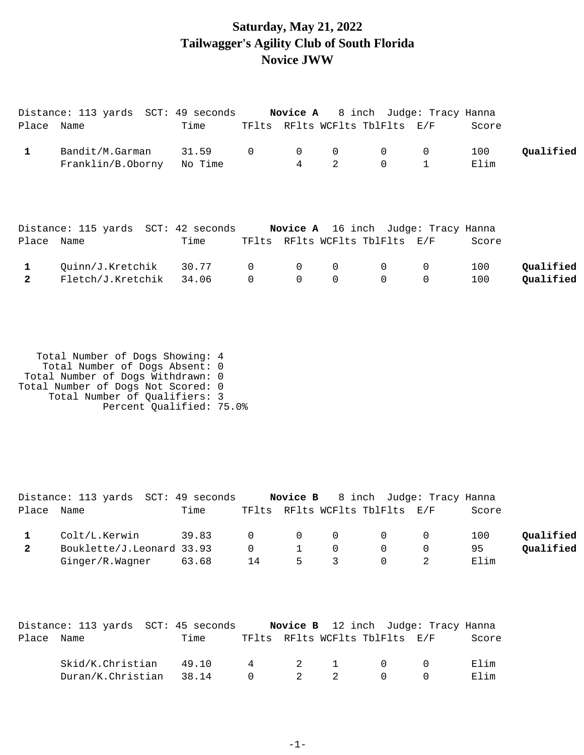## **Saturday, May 21, 2022 Tailwagger's Agility Club of South Florida Novice JWW**

|              | Distance: 113 yards  SCT: 49 seconds |         |                |                |             | <b>Novice A</b> 8 inch Judge: Tracy Hanna  |              |       |           |
|--------------|--------------------------------------|---------|----------------|----------------|-------------|--------------------------------------------|--------------|-------|-----------|
| Place Name   |                                      | Time    | TFlts          |                |             | RFlts WCFlts TblFlts E/F                   |              | Score |           |
| $\mathbf{1}$ | Bandit/M.Garman                      | 31.59   | $\overline{0}$ | 0              | 0           | $\overline{0}$                             | 0            | 100   | Qualified |
|              | Franklin/B.Oborny                    | No Time |                | $\overline{4}$ | 2           | $\Omega$                                   | $\mathbf{1}$ | Elim  |           |
|              |                                      |         |                |                |             |                                            |              |       |           |
|              |                                      |         |                |                |             |                                            |              |       |           |
|              |                                      |         |                |                |             |                                            |              |       |           |
|              | Distance: 115 yards SCT: 42 seconds  |         |                |                |             | <b>Novice A</b> 16 inch Judge: Tracy Hanna |              |       |           |
| Place Name   |                                      | Time    |                |                |             | TFlts RFlts WCFlts TblFlts E/F             |              | Score |           |
| $\mathbf{1}$ | Quinn/J.Kretchik                     | 30.77   | $\overline{0}$ | $\overline{0}$ | $\Omega$    | $\mathbf 0$                                | $\mathbf 0$  | 100   | Qualified |
| $\mathbf{2}$ | Fletch/J.Kretchik 34.06              |         | $\Omega$       | $\Omega$       | $\mathbf 0$ | $\Omega$                                   | 0            | 100   | Qualified |
|              |                                      |         |                |                |             |                                            |              |       |           |

 Total Number of Dogs Showing: 4 Total Number of Dogs Absent: 0 Total Number of Dogs Withdrawn: 0 Total Number of Dogs Not Scored: 0 Total Number of Qualifiers: 3 Percent Qualified: 75.0%

|            | Distance: 113 yards SCT: 49 seconds |       |          |   |                                         | <b>Novice B</b> 8 inch Judge: Tracy Hanna  |       |           |
|------------|-------------------------------------|-------|----------|---|-----------------------------------------|--------------------------------------------|-------|-----------|
| Place Name |                                     | Time  |          |   |                                         | TFlts RFlts WCFlts TblFlts E/F             | Score |           |
|            | Colt/L.Kerwin                       | 39.83 |          |   | $\begin{matrix} 0 & 0 & 0 \end{matrix}$ | $\begin{array}{ccc} & & & 0 & \end{array}$ | 100   | Oualified |
|            | Bouklette/J.Leonard 33.93           |       | $\Omega$ |   |                                         | $\bigcap$                                  | 95    | Oualified |
|            | Ginger/R.Wagner                     | 63.68 | 14       | 5 |                                         |                                            | Elim  |           |

|            | Distance: 113 yards SCT: 45 seconds |      |          |     |                                | <b>Novice B</b> 12 inch Judge: Tracy Hanna |       |
|------------|-------------------------------------|------|----------|-----|--------------------------------|--------------------------------------------|-------|
| Place Name |                                     | Time |          |     | TFlts RFlts WCFlts TblFlts E/F |                                            | Score |
|            | Skid/K.Christian 49.10              |      |          |     | 4 2 1 0 0                      |                                            | Elim  |
|            | Duran/K.Christian 38.14             |      | $\Omega$ | 2 2 | $\Box$                         |                                            | Elim  |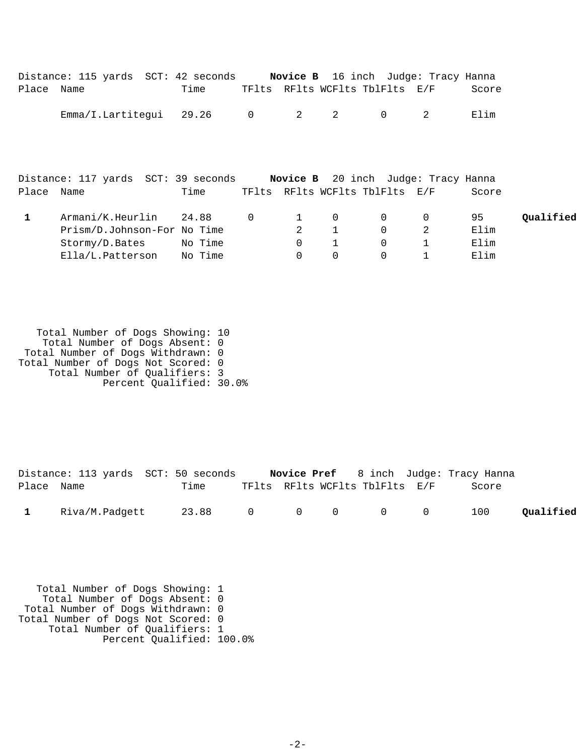|            | Distance: 115 yards SCT: 42 seconds Novice B 16 inch Judge: Tracy Hanna |         |                |                         |              |                                |   |       |           |
|------------|-------------------------------------------------------------------------|---------|----------------|-------------------------|--------------|--------------------------------|---|-------|-----------|
| Place Name |                                                                         | Time    |                |                         |              | TFlts RFlts WCFlts TblFlts E/F |   | Score |           |
|            | Emma/I.Lartitequi 29.26                                                 |         | $\overline{0}$ | $\overline{\mathbf{2}}$ | 2            | $\overline{0}$                 | 2 | Elim  |           |
|            | Distance: 117 yards SCT: 39 seconds Novice B 20 inch Judge: Tracy Hanna |         |                |                         |              |                                |   |       |           |
| Place Name |                                                                         | Time    |                |                         |              | TFlts RFlts WCFlts TblFlts E/F |   | Score |           |
| 1.         | Armani/K.Heurlin                                                        | 24.88   | $\Omega$       | $\mathbf{1}$            | $\Omega$     | $\Omega$                       | 0 | 95    | Qualified |
|            | Prism/D.Johnson-For No Time                                             |         |                | 2                       | $\mathbf{1}$ | $\Omega$                       | 2 | Elim  |           |
|            | Stormy/D.Bates No Time                                                  |         |                | $\mathbf 0$             | $\mathbf{1}$ | $\Omega$                       |   | Elim  |           |
|            | Ella/L.Patterson                                                        | No Time |                | $\Omega$                | $\Omega$     | $\Omega$                       | 1 | Elim  |           |

 Total Number of Dogs Showing: 10 Total Number of Dogs Absent: 0 Total Number of Dogs Withdrawn: 0 Total Number of Dogs Not Scored: 0 Total Number of Qualifiers: 3 Percent Qualified: 30.0%

|            | Distance: 113 yards SCT: 50 seconds |      |  |                                | <b>Novice Pref</b> 8 inch Judge: Tracy Hanna |           |
|------------|-------------------------------------|------|--|--------------------------------|----------------------------------------------|-----------|
| Place Name |                                     | Time |  | TFlts RFlts WCFlts TblFlts E/F | Score                                        |           |
|            | 1 Riva/M.Padgett 23.88 0 0 0 0 0    |      |  |                                | 100                                          | Qualified |

 Total Number of Dogs Showing: 1 Total Number of Dogs Absent: 0 Total Number of Dogs Withdrawn: 0 Total Number of Dogs Not Scored: 0 Total Number of Qualifiers: 1 Percent Qualified: 100.0%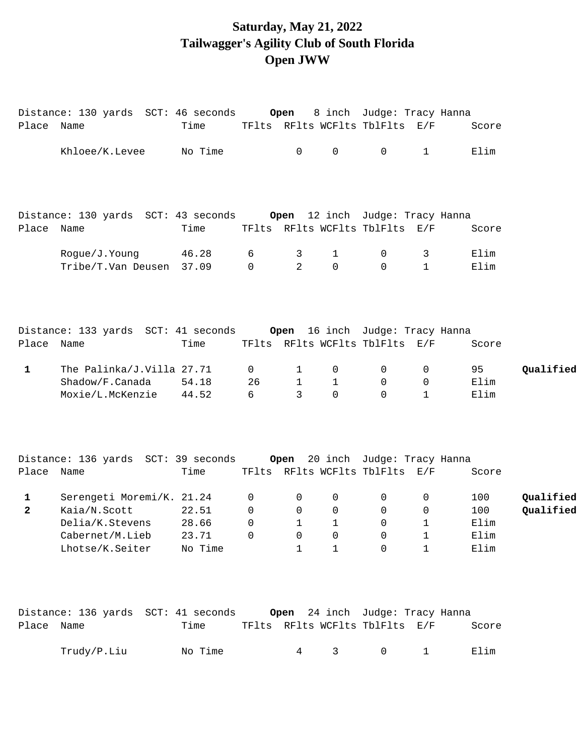# **Saturday, May 21, 2022 Tailwagger's Agility Club of South Florida Open JWW**

|              | Distance: 130 yards SCT: 46 seconds                                 |         |                 | Open           |                       | 8 inch Judge: Tracy Hanna      |              |       |           |
|--------------|---------------------------------------------------------------------|---------|-----------------|----------------|-----------------------|--------------------------------|--------------|-------|-----------|
| Place Name   |                                                                     | Time    |                 |                |                       | TFlts RFlts WCFlts TblFlts E/F |              | Score |           |
|              | Khloee/K.Levee                                                      | No Time |                 | $\mathbf 0$    | $\mathsf{O}$          | $\overline{0}$                 | $\mathbf{1}$ | Elim  |           |
|              |                                                                     |         |                 |                |                       |                                |              |       |           |
|              | Distance: 130 yards SCT: 43 seconds Open 12 inch Judge: Tracy Hanna |         |                 |                |                       |                                |              |       |           |
| Place Name   |                                                                     | Time    |                 |                |                       | TFlts RFlts WCFlts TblFlts E/F |              | Score |           |
|              | Rogue/J.Young                                                       | 46.28   | 6               | 3              | $\mathbf 1$           | $\overline{0}$                 | $\mathbf{3}$ | Elim  |           |
|              | Tribe/T.Van Deusen 37.09                                            |         | $\Omega$        | $\overline{2}$ | $\Omega$              | $\Omega$                       | $\mathbf{1}$ | Elim  |           |
|              |                                                                     |         |                 |                |                       |                                |              |       |           |
|              | Distance: 133 yards SCT: 41 seconds Open 16 inch Judge: Tracy Hanna |         |                 |                |                       |                                |              |       |           |
| Place Name   |                                                                     | Time    |                 |                |                       | TFlts RFlts WCFlts TblFlts E/F |              | Score |           |
| 1            | The Palinka/J.Villa 27.71                                           |         | 0               | 1              | 0                     | $\mathbf{0}$                   | 0            | 95    | Qualified |
|              | Shadow/F.Canada                                                     | 54.18   | 26              | 1              | $\mathbf{1}$          | $\mathbf{0}$                   | 0            | Elim  |           |
|              | Moxie/L.McKenzie                                                    | 44.52   | $6\overline{6}$ | 3              | $\Omega$              | $\Omega$                       | $\mathbf{1}$ | Elim  |           |
|              | Distance: 136 yards SCT: 39 seconds Open 20 inch Judge: Tracy Hanna |         |                 |                |                       |                                |              |       |           |
| Place Name   |                                                                     | Time    |                 |                |                       | TFlts RFlts WCFlts TblFlts E/F |              | Score |           |
| $\mathbf 1$  | Serengeti Moremi/K. 21.24                                           |         | 0               | 0              | 0                     | 0                              | 0            | 100   | Qualified |
| $\mathbf{2}$ | Kaia/N.Scott                                                        | 22.51   | 0               | 0              | 0                     | $\mathsf{O}$                   | 0            | 100   | Qualified |
|              | Delia/K.Stevens                                                     | 28.66   | 0               | $\mathbf{1}$   | $\mathbf{1}$          | 0                              | 1            | Elim  |           |
|              | Cabernet/M.Lieb                                                     | 23.71   | $\overline{0}$  | $\overline{0}$ | $\overline{0}$        | $\overline{0}$                 | 1            | Elim  |           |
|              | Lhotse/K.Seiter No Time                                             |         |                 |                | $1 \qquad 1 \qquad 0$ |                                | 1            | Elim  |           |
|              | Distance: 136 yards SCT: 41 seconds Open 24 inch Judge: Tracy Hanna |         |                 |                |                       |                                |              |       |           |
| Place Name   |                                                                     | Time    |                 |                |                       | TFlts RFlts WCFlts TblFlts E/F |              | Score |           |
|              | Trudy/P.Liu                                                         | No Time |                 | $4\degree$     | 3 <sup>7</sup>        | $\overline{0}$                 | 1            | Elim  |           |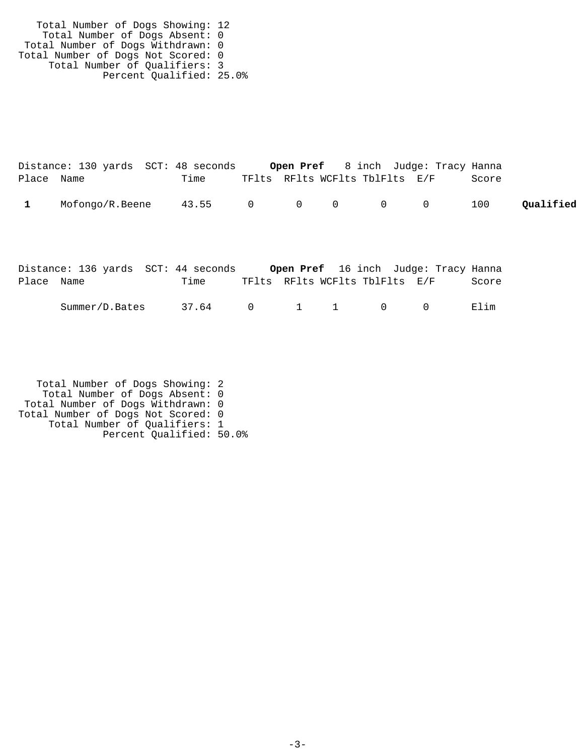Total Number of Dogs Showing: 12 Total Number of Dogs Absent: 0 Total Number of Dogs Withdrawn: 0 Total Number of Dogs Not Scored: 0 Total Number of Qualifiers: 3 Percent Qualified: 25.0%

|            | Distance: 130 yards SCT: 48 seconds |                 |                                | <b>Open Pref</b> 8 inch Judge: Tracy Hanna |  |  |       |           |
|------------|-------------------------------------|-----------------|--------------------------------|--------------------------------------------|--|--|-------|-----------|
| Place Name |                                     | Time            | TFlts RFlts WCFlts TblFlts E/F |                                            |  |  | Score |           |
|            | Mofongo/R.Beene                     | 43.55 0 0 0 0 0 |                                |                                            |  |  | 100   | Qualified |

|            | Distance: 136 yards SCT: 44 seconds |       |                                |  | <b>Open Pref</b> 16 inch Judge: Tracy Hanna |       |
|------------|-------------------------------------|-------|--------------------------------|--|---------------------------------------------|-------|
| Place Name |                                     | Time  |                                |  | TFlts RFlts WCFlts TblFlts E/F              | Score |
|            | Summer/D.Bates                      | 37.64 | $0 \qquad 1 \qquad 1 \qquad 0$ |  | $\bigcap$                                   | Elim  |

 Total Number of Dogs Showing: 2 Total Number of Dogs Absent: 0 Total Number of Dogs Withdrawn: 0 Total Number of Dogs Not Scored: 0 Total Number of Qualifiers: 1 Percent Qualified: 50.0%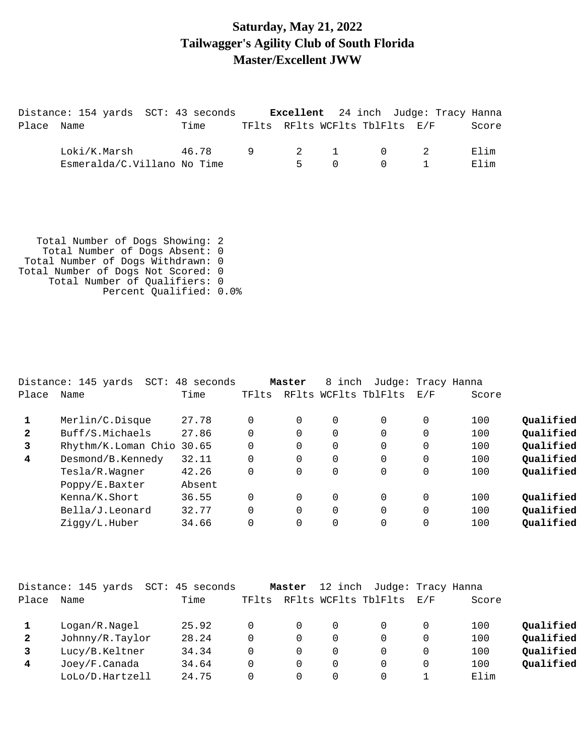### **Saturday, May 21, 2022 Tailwagger's Agility Club of South Florida Master/Excellent JWW**

|            | Distance: 154 yards SCT: 43 seconds         |             |       |        |          | <b>Excellent</b> 24 inch Judge: Tracy Hanna        |              |
|------------|---------------------------------------------|-------------|-------|--------|----------|----------------------------------------------------|--------------|
| Place Name |                                             | Time        |       |        |          | TFlts RFlts WCFlts TblFlts E/F                     | Score        |
|            | Loki/K.Marsh<br>Esmeralda/C.Villano No Time | 46.78 9 2 1 | $5 -$ | $\cap$ | $\Omega$ | $\begin{array}{ccc} & & 0 & \quad & 2 \end{array}$ | Elim<br>Elim |

 Total Number of Dogs Showing: 2 Total Number of Dogs Absent: 0 Total Number of Dogs Withdrawn: 0 Total Number of Dogs Not Scored: 0 Total Number of Qualifiers: 0 Percent Qualified: 0.0%

|              | Distance: 145 yards<br>SCT: | 48 seconds |          | Master   | 8 inch   | Judge: Tracy Hanna   |          |       |           |
|--------------|-----------------------------|------------|----------|----------|----------|----------------------|----------|-------|-----------|
| Place        | Name                        | Time       | TFlts    |          |          | RFlts WCFlts TblFlts | E/F      | Score |           |
|              | Merlin/C.Disque             | 27.78      | 0        | $\Omega$ | 0        |                      | 0        | 100   | Qualified |
| $\mathbf{2}$ | Buff/S.Michaels             | 27.86      | 0        | $\Omega$ | $\Omega$ |                      | 0        | 100   | Qualified |
| 3            | Rhythm/K.Loman Chio         | 30.65      | 0        | $\Omega$ | 0        |                      | 0        | 100   | Qualified |
| 4            | Desmond/B.Kennedy           | 32.11      | 0        | $\Omega$ | $\Omega$ |                      | $\Omega$ | 100   | Qualified |
|              | Tesla/R.Wagner              | 42.26      | 0        | $\Omega$ | 0        |                      | 0        | 100   | Qualified |
|              | Poppy/E.Baxter              | Absent     |          |          |          |                      |          |       |           |
|              | Kenna/K.Short               | 36.55      | 0        | $\Omega$ | $\Omega$ |                      | $\Omega$ | 100   | Oualified |
|              | Bella/J.Leonard             | 32.77      | $\Omega$ | $\Omega$ | $\Omega$ |                      | $\Omega$ | 100   | Qualified |
|              | Ziggy/L.Huber               | 34.66      | 0        | $\Omega$ |          |                      | 0        | 100   | Qualified |

|              | Distance: 145 yards | SCT: | 45 seconds |       | Master | 12 inch  | Judge: Tracy Hanna   |        |       |           |
|--------------|---------------------|------|------------|-------|--------|----------|----------------------|--------|-------|-----------|
| Place        | Name                |      | Time       | TFlts |        |          | RFlts WCFlts TblFlts | F. / F | Score |           |
|              | Logan/R.Naged       |      | 25.92      |       | O      | $\Omega$ |                      |        | 100   | Oualified |
| $\mathbf{2}$ | Johnny/R.Taylor     |      | 28.24      |       | 0      | $\Omega$ |                      |        | 100   | Qualified |
|              | Lucy/B.Keltner      |      | 34.34      |       | 0      | $\Omega$ |                      |        | 100   | Qualified |
| 4            | Joey/F.Canada       |      | 34.64      |       | 0      | $\Omega$ |                      |        | 100   | Qualified |
|              | LoLo/D.Hartzell     |      | 24.75      |       |        | $\Omega$ |                      |        | Elim  |           |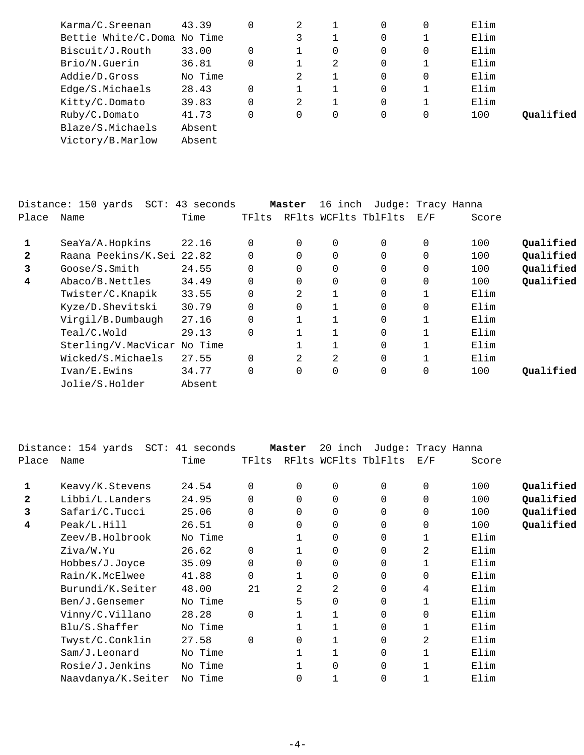| Karma/C.Sreenan             | 43.39   | 2        |   | 0 | 0        | Elim |           |
|-----------------------------|---------|----------|---|---|----------|------|-----------|
| Bettie White/C.Doma No Time |         |          |   | 0 |          | Elim |           |
| Biscuit/J.Routh             | 33.00   |          | 0 | 0 | 0        | Elim |           |
| Brio/N.Guerin               | 36.81   |          | 2 | 0 |          | Elim |           |
| Addie/D.Gross               | No Time | 2        |   | 0 | 0        | Elim |           |
| Edge/S.Michaels             | 28.43   |          |   | 0 |          | Elim |           |
| Kitty/C.Domato              | 39.83   | 2        |   | 0 |          | Elim |           |
| Ruby/C.Domato               | 41.73   | $\Omega$ | 0 | 0 | $\Omega$ | 100  | Oualified |
| Blaze/S.Michaels            | Absent  |          |   |   |          |      |           |
| Victory/B.Marlow            | Absent  |          |   |   |          |      |           |
|                             |         |          |   |   |          |      |           |

| Place        | Distance: 150 yards SCT: 43 seconds<br>Name | Time   | TFlts       | Master   | 16 inch  | Judge: Tracy Hanna<br>RFlts WCFlts TblFlts | E/F      | Score |           |
|--------------|---------------------------------------------|--------|-------------|----------|----------|--------------------------------------------|----------|-------|-----------|
| 1            | SeaYa/A.Hopkins                             | 22.16  | 0           | 0        |          | 0                                          | $\Omega$ | 100   | Qualified |
| $\mathbf{2}$ | Raana Peekins/K.Sei 22.82                   |        | $\Omega$    | $\Omega$ | $\Omega$ | $\Omega$                                   | $\Omega$ | 100   | Qualified |
| 3            | Goose/S.Smit                                | 24.55  | $\mathbf 0$ | 0        | $\Omega$ | 0                                          | $\Omega$ | 100   | Qualified |
| 4            | Abaco/B.Nettles                             | 34.49  | 0           | 0        | $\Omega$ | 0                                          | $\Omega$ | 100   | Qualified |
|              | Twister/C.Knapik                            | 33.55  | $\Omega$    | 2        |          | $\Omega$                                   |          | Elim  |           |
|              | Kyze/D.Shevitski                            | 30.79  | $\mathbf 0$ | 0        |          | 0                                          | $\Omega$ | Elim  |           |
|              | Virgil/B.Dumbaugh                           | 27.16  | $\Omega$    |          |          | 0                                          |          | Elim  |           |
|              | Teal/C.Wold                                 | 29.13  | $\Omega$    |          |          | $\Omega$                                   |          | Elim  |           |
|              | Sterling/V.MacVicar No Time                 |        |             |          |          | 0                                          |          | Elim  |           |
|              | Wicked/S.Michaels                           | 27.55  | $\Omega$    | 2        | 2        | 0                                          |          | Elim  |           |
|              | Ivan/E.Ewins                                | 34.77  | $\Omega$    | 0        | $\Omega$ | 0                                          | $\Omega$ | 100   | Oualified |
|              | Jolie/S.Holder                              | Absent |             |          |          |                                            |          |       |           |

|       | Distance: 154 yards SCT: 41 seconds |         |             | Master         | 20 inch        | Judge: Tracy Hanna   |          |       |           |
|-------|-------------------------------------|---------|-------------|----------------|----------------|----------------------|----------|-------|-----------|
| Place | Name                                | Time    | TFlts       |                |                | RFlts WCFlts TblFlts | E/F      | Score |           |
| 1     | Keavy/K.Stevens                     | 24.54   | $\mathbf 0$ | 0              | 0              | 0                    | 0        | 100   | Qualified |
| 2     | Libbi/L.Landers                     | 24.95   | $\Omega$    | $\Omega$       | $\Omega$       | $\Omega$             | 0        | 100   | Qualified |
| 3     | Safari/C.Tucci                      | 25.06   | $\Omega$    | $\Omega$       | $\Omega$       | $\Omega$             | 0        | 100   | Qualified |
| 4     | Peak/L.Hill                         | 26.51   | $\Omega$    | $\Omega$       | 0              | $\Omega$             | $\Omega$ | 100   | Qualified |
|       | Zeev/B.Holbrook                     | No Time |             |                | $\Omega$       | $\Omega$             |          | Elim  |           |
|       | Ziva/W.Yu                           | 26.62   | $\mathbf 0$ |                | 0              | 0                    | 2        | Elim  |           |
|       | Hobbes/J.Joyce                      | 35.09   | $\Omega$    | $\Omega$       | $\Omega$       | $\Omega$             |          | Elim  |           |
|       | Rain/K.McElwee                      | 41.88   | $\Omega$    |                | $\Omega$       | $\Omega$             | 0        | Elim  |           |
|       | Burundi/K.Seiter                    | 48.00   | 21          | $\overline{2}$ | $\overline{2}$ | $\Omega$             | 4        | Elim  |           |
|       | Ben/J.Gensemer                      | No Time |             | 5              | $\Omega$       | $\Omega$             |          | Elim  |           |
|       | Vinny/C.Villano                     | 28.28   | $\mathbf 0$ |                |                | $\Omega$             | $\Omega$ | Elim  |           |
|       | Blu/S. Shafter                      | No Time |             |                |                | $\Omega$             |          | Elim  |           |
|       | Twyst/C.Conklin                     | 27.58   | $\Omega$    | $\Omega$       |                | 0                    | 2        | Elim  |           |
|       | Sam/J.Leonard                       | No Time |             |                |                | $\Omega$             |          | Elim  |           |
|       | Rosie/J.Jenkins                     | No Time |             |                | $\Omega$       | $\Omega$             |          | Elim  |           |
|       | Naavdanya/K.Seiter                  | No Time |             | 0              |                | 0                    |          | Elim  |           |
|       |                                     |         |             |                |                |                      |          |       |           |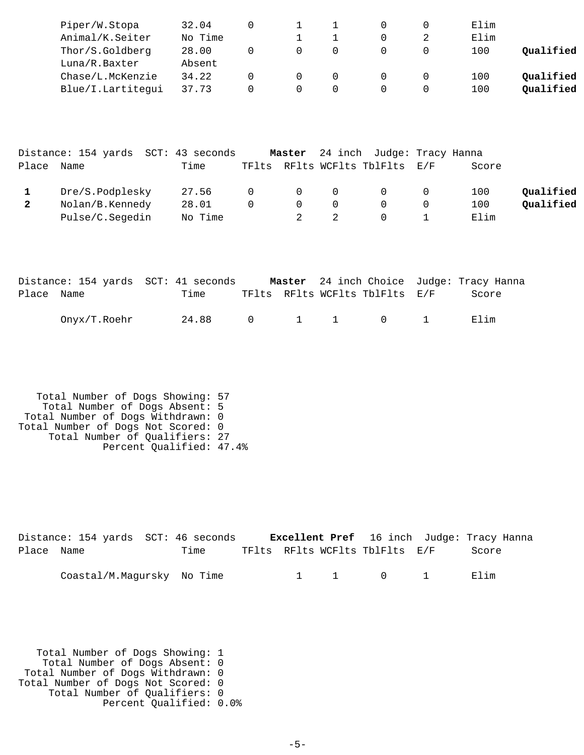| Piper/W.Stopa     | 32.04   |  |  | Elim |           |
|-------------------|---------|--|--|------|-----------|
| Animal/K.Seiter   | No Time |  |  | Elim |           |
| Thor/S.Goldberg   | 28.00   |  |  | 100  | Qualified |
| Luna/R.Baxter     | Absent  |  |  |      |           |
| Chase/L.McKenzie  | 34.22   |  |  | 100  | Qualified |
| Blue/I.Lartitegui | 37.73   |  |  | 100  | Qualified |

|              | Distance: 154 yards SCT: 43 seconds |         |          |                |                | Master 24 inch Judge: Tracy Hanna |                |       |           |
|--------------|-------------------------------------|---------|----------|----------------|----------------|-----------------------------------|----------------|-------|-----------|
| Place        | Name                                | Time    |          |                |                | TFlts RFlts WCFlts TblFlts E/F    |                | Score |           |
|              | Dre/S.Podplesky                     | 27.56   | $\Omega$ | $\overline{0}$ | $\overline{0}$ | $\Omega$                          | $\overline{0}$ | 100   | Oualified |
| $\mathbf{2}$ | Nolan/B.Kennedy                     | 28.01   | $\Omega$ | $\Omega$       | $\Omega$       | $\Omega$                          |                | 100   | Qualified |
|              | Pulse/C.Segedin                     | No Time |          |                |                |                                   |                | Elim  |           |

|            |              | Distance: 154 yards SCT: 41 seconds | <b>Master</b> 24 inch Choice Judge: Tracy Hanna |       |
|------------|--------------|-------------------------------------|-------------------------------------------------|-------|
| Place Name |              | Time                                | TFlts RFlts WCFlts TblFlts E/F                  | Score |
|            | Onyx/T.Roehr | 24.88                               | $0 \qquad 1 \qquad 1 \qquad 0 \qquad 1$         | Elim  |

```
 Total Number of Dogs Showing: 57
 Total Number of Dogs Absent: 5
 Total Number of Dogs Withdrawn: 0
Total Number of Dogs Not Scored: 0
 Total Number of Qualifiers: 27
 Percent Qualified: 47.4%
```

|            | Distance: 154 yards SCT: 46 seconds |      |  |                                | <b>Excellent Pref</b> 16 inch Judge: Tracy Hanna |  |
|------------|-------------------------------------|------|--|--------------------------------|--------------------------------------------------|--|
| Place Name |                                     | Time |  | TFlts RFlts WCFlts TblFlts E/F | Score                                            |  |
|            | Coastal/M.Magursky No Time          |      |  | 1 1 0 1                        | Elim                                             |  |

 Total Number of Dogs Showing: 1 Total Number of Dogs Absent: 0 Total Number of Dogs Withdrawn: 0 Total Number of Dogs Not Scored: 0 Total Number of Qualifiers: 0 Percent Qualified: 0.0%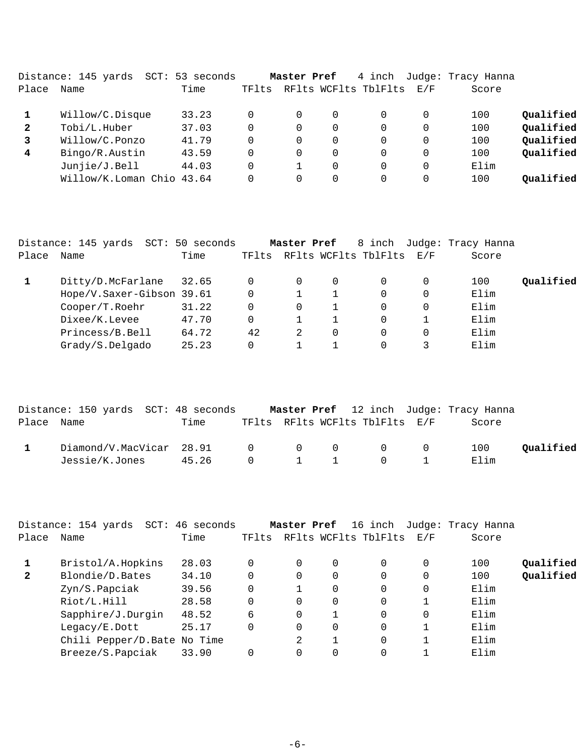| SCT:            |                     |                                   |   |          |             |          |                      |                    |
|-----------------|---------------------|-----------------------------------|---|----------|-------------|----------|----------------------|--------------------|
| Name            | Time                | TFlts                             |   |          |             | E/F      | Score                |                    |
| Willow/C.Disque | 33.23               |                                   | 0 | 0        |             | $\Omega$ | 100                  | Qualified          |
| Tobi/L.Huber    | 37.03               |                                   | 0 | 0        | $\Omega$    | $\Omega$ | 100                  | Qualified          |
| Willow/C.Ponzo  | 41.79               |                                   | 0 | 0        | $\Omega$    | $\Omega$ | 100                  | Qualified          |
| Bingo/R.Austin  | 43.59               | 0                                 | 0 | $\Omega$ | $\Omega$    | $\Omega$ | 100                  | Qualified          |
| Junjie/J.Bell   | 44.03               |                                   |   | $\Omega$ | $\Omega$    | $\Omega$ | Elim                 |                    |
|                 | 43.64               |                                   |   | 0        | $\Omega$    | $\Omega$ | 100                  | Oualified          |
|                 | Distance: 145 yards | 53 seconds<br>Willow/K.Loman Chio |   |          | Master Pref | 4 inch   | RFlts WCFlts TblFlts | Judge: Tracy Hanna |

|       | Distance: 145 yards SCT: 50 seconds |       |       | Master Pref |   | 8 inch               |     | Judge: Tracy Hanna |           |
|-------|-------------------------------------|-------|-------|-------------|---|----------------------|-----|--------------------|-----------|
| Place | Name                                | Time  | TFlts |             |   | RFlts WCFlts TblFlts | E/F | Score              |           |
|       | Ditty/D.McFarlane                   | 32.65 | 0     | 0           | 0 |                      |     | 100                | Oualified |
|       | Hope/V.Saxer-Gibson 39.61           |       | 0     |             |   |                      | 0   | Elim               |           |
|       | Cooper/T.Roehr                      | 31.22 | 0     | 0           |   |                      |     | Elim               |           |
|       | Dixee/K.Levee                       | 47.70 | 0     |             |   |                      |     | Elim               |           |
|       | Princess/B.Bell                     | 64.72 | 42    |             |   |                      |     | Elim               |           |
|       | Grady/S.Delgado                     | 25.23 | 0     |             |   |                      |     | Elim               |           |

|            | Distance: 150 yards SCT: 48 seconds  |      |  |                                | <b>Master Pref</b> 12 inch Judge: Tracy Hanna |           |
|------------|--------------------------------------|------|--|--------------------------------|-----------------------------------------------|-----------|
| Place Name |                                      | Time |  | TFlts RFlts WCFlts TblFlts E/F | Score                                         |           |
|            | $Diamond/V.MacVicar$ 28.91 0 0 0 0 0 |      |  |                                | 100                                           | Oualified |
|            | Jessie/K.Jones 45.26 0 1 1 0 1       |      |  |                                | Elim                                          |           |

|              | Distance: 154 yards SCT: 46 seconds |       |          |   |          | Master Pref 16 inch  |     | Judge: Tracy Hanna |           |
|--------------|-------------------------------------|-------|----------|---|----------|----------------------|-----|--------------------|-----------|
| Place        | Name                                | Time  | TFlts    |   |          | RFlts WCFlts TblFlts | E/F | Score              |           |
|              | Bristol/A.Hopkins                   | 28.03 | 0        |   | 0        | 0                    |     | 100                | Qualified |
| $\mathbf{2}$ | Blondie/D.Bates                     | 34.10 | 0        | 0 | 0        |                      |     | 100                | Qualified |
|              | Zyn/S.Papciak                       | 39.56 | 0        |   | $\Omega$ | 0                    | 0   | Elim               |           |
|              | Riot/L.Hill                         | 28.58 | 0        | 0 | 0        | 0                    |     | Elim               |           |
|              | Sapphire/J.Durgin                   | 48.52 | 6        | 0 |          | 0                    | 0   | Elim               |           |
|              | Legacy/E.Dott                       | 25.17 | $\Omega$ | 0 | $\Omega$ | 0                    |     | Elim               |           |
|              | Chili Pepper/D. Bate No Time        |       |          | 2 |          | 0                    |     | Elim               |           |
|              | Breeze/S.Papciak                    | 33.90 | 0        |   | 0        | 0                    |     | Elim               |           |
|              |                                     |       |          |   |          |                      |     |                    |           |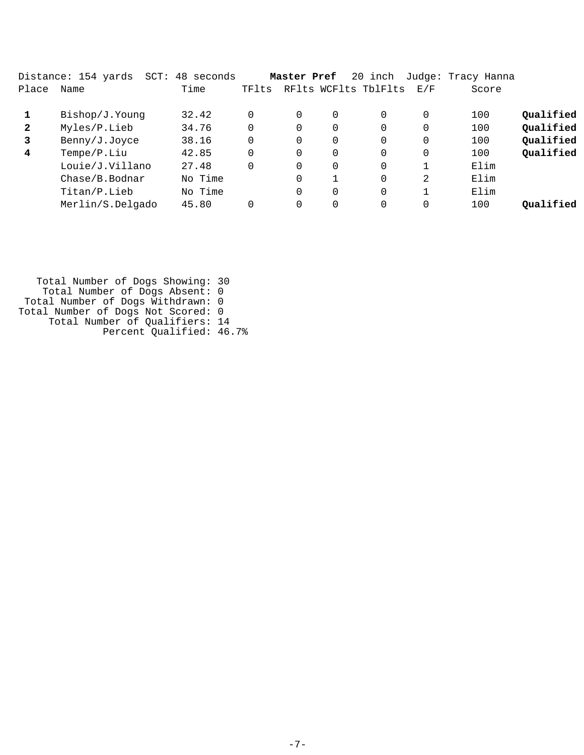|              | Distance: 154 yards<br>SCT: | 48 seconds |       | Master Pref |          | 20 inch              |          | Judge: Tracy Hanna |           |
|--------------|-----------------------------|------------|-------|-------------|----------|----------------------|----------|--------------------|-----------|
| Place        | Name                        | Time       | TFlts |             |          | RFlts WCFlts TblFlts | E/F      | Score              |           |
|              | Bishop/J.Young              | 32.42      |       | $\Omega$    | 0        | 0                    | 0        | 100                | Qualified |
| $\mathbf{2}$ | Myles/P.Lieb                | 34.76      |       | $\Omega$    | $\Omega$ | $\Omega$             | $\Omega$ | 100                | Qualified |
| 3            | Benny/J.Joyce               | 38.16      |       | 0           | 0        | 0                    | 0        | 100                | Qualified |
| 4            | Tempe/P.Liu                 | 42.85      |       | 0           | 0        | $\Omega$             | 0        | 100                | Qualified |
|              | Louie/J.Villano             | 27.48      |       | $\Omega$    | 0        | $\Omega$             | 1        | Elim               |           |
|              | Chase/B.Bodnar              | No Time    |       | 0           |          | 0                    | 2        | Elim               |           |
|              | Titan/P.Lieb                | No Time    |       | 0           | 0        | $\Omega$             |          | Elim               |           |
|              | Merlin/S.Delgado            | 45.80      |       | 0           | 0        | $\Omega$             | 0        | 100                | Qualified |
|              |                             |            |       |             |          |                      |          |                    |           |

 Total Number of Dogs Showing: 30 Total Number of Dogs Absent: 0 Total Number of Dogs Withdrawn: 0 Total Number of Dogs Not Scored: 0 Total Number of Qualifiers: 14 Percent Qualified: 46.7%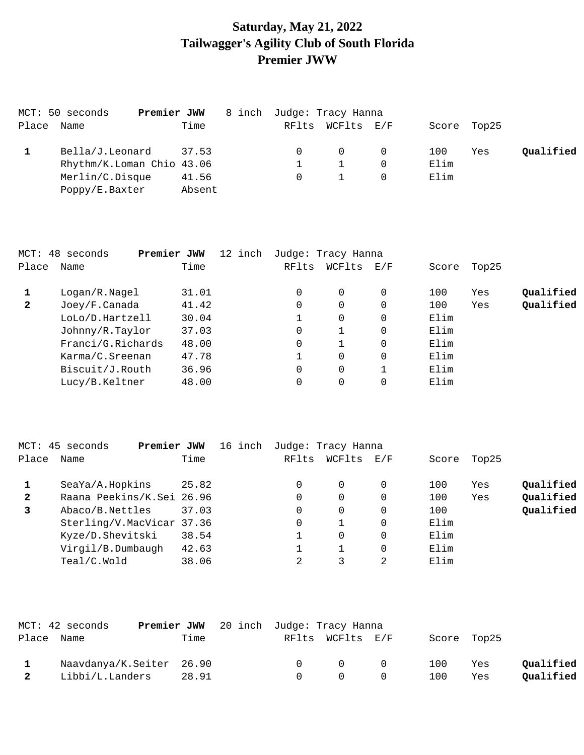# **Saturday, May 21, 2022 Tailwagger's Agility Club of South Florida Premier JWW**

| MCT: 50 seconds<br>Premier JWW |        | 8 inch Judge: Tracy Hanna |            |   |             |     |           |
|--------------------------------|--------|---------------------------|------------|---|-------------|-----|-----------|
| Place Name                     | Time   | RFlts                     | WCFlts E/F |   | Score Top25 |     |           |
| Bella/J.Leonard                | 37.53  |                           | $\Omega$   | 0 | 100         | Yes | Oualified |
| Rhythm/K.Loman Chio 43.06      |        |                           |            |   | Elim        |     |           |
| Merlin/C.Disque                | 41.56  |                           |            |   | Elim        |     |           |
| Poppy/E.Baxter                 | Absent |                           |            |   |             |     |           |

|              | MCT: 48 seconds<br>Premier JWW | 12 inch | Judge: Tracy Hanna |          |                                                           |       |       |           |
|--------------|--------------------------------|---------|--------------------|----------|-----------------------------------------------------------|-------|-------|-----------|
| Place        | Name                           | Time    | RFlts              | WCFlts   | $\mathop{\rm E{}}\nolimits$ / $\mathop{\rm F{}}\nolimits$ | Score | Top25 |           |
|              | Logan/R.Nagel                  | 31.01   | 0                  | $\Omega$ | 0                                                         | 100   | Yes   | Qualified |
| $\mathbf{2}$ | Joey/F.Canada                  | 41.42   | 0                  | 0        | 0                                                         | 100   | Yes   | Qualified |
|              | LoLo/D.Hartzell                | 30.04   |                    | $\Omega$ | 0                                                         | Elim  |       |           |
|              | Johnny/R.Taylor                | 37.03   | 0                  |          | 0                                                         | Elim  |       |           |
|              | Franci/G.Richards              | 48.00   | 0                  |          | 0                                                         | Elim  |       |           |
|              | Karma/C.Sreenan                | 47.78   |                    | $\Omega$ | 0                                                         | Elim  |       |           |
|              | Biscuit/J.Routh                | 36.96   | $\Omega$           | $\Omega$ |                                                           | Elim  |       |           |
|              | Lucy/B.Keltner                 | 48.00   |                    | 0        |                                                           | Elim  |       |           |

|              | MCT: 45 seconds<br>Premier JWW | 16 inch |       | Judge: Tracy Hanna |          |       |       |           |
|--------------|--------------------------------|---------|-------|--------------------|----------|-------|-------|-----------|
| Place        | Name                           | Time    | RFlts | WCFlts             | E/F      | Score | Top25 |           |
|              | SeaYa/A.Hopkins                | 25.82   | 0     | 0                  | $\Omega$ | 100   | Yes   | Qualified |
| $\mathbf{2}$ | Raana Peekins/K.Sei 26.96      |         |       | 0                  | $\Omega$ | 100   | Yes   | Qualified |
| 3            | Abaco/B.Nettles                | 37.03   | 0     | 0                  | $\Omega$ | 100   |       | Qualified |
|              | Sterling/V.MacVicar 37.36      |         |       |                    | $\Omega$ | Elim  |       |           |
|              | Kyze/D.Shevitski               | 38.54   |       | 0                  | $\Omega$ | Elim  |       |           |
|              | Virgil/B.Dumbaugh              | 42.63   |       |                    | $\Omega$ | Elim  |       |           |
|              | Teal/C.Wold                    | 38.06   | 2     |                    | 2        | Elim  |       |           |

|              | MCT: 42 seconds          |       | Premier JWW 20 inch Judge: Tracy Hanna |        |                   |     |             |           |
|--------------|--------------------------|-------|----------------------------------------|--------|-------------------|-----|-------------|-----------|
| Place Name   |                          | Time  |                                        |        | RFlts WCFlts E/F  |     | Score Top25 |           |
|              | Naavdanya/K.Seiter 26.90 |       |                                        | $\cap$ | $\Omega$ $\Omega$ | 100 | Yes         | Qualified |
| $\mathbf{2}$ | Libbi/L.Landers          | 28.91 |                                        | $\cap$ | $\Omega$ $\Omega$ | 100 | Yes         | Qualified |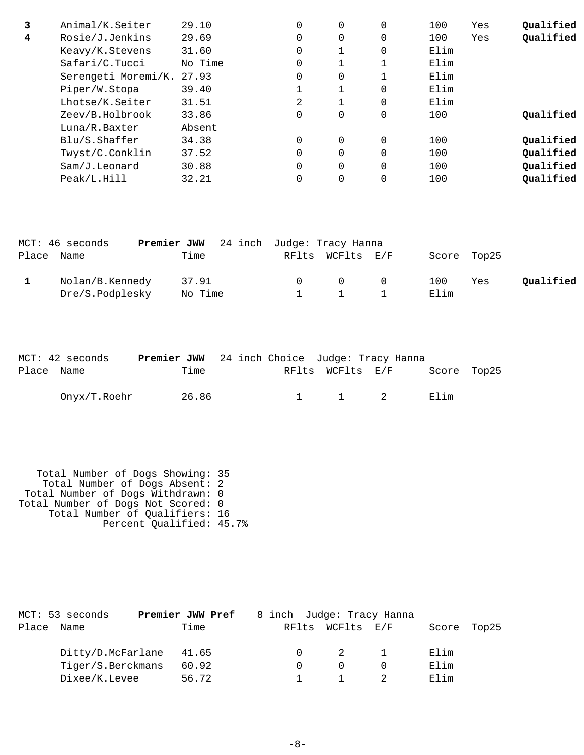| 3 | Animal/K.Seiter     | 29.10   | $\Omega$ | 0        | 0        | 100  | Yes | Qualified |
|---|---------------------|---------|----------|----------|----------|------|-----|-----------|
| 4 | Rosie/J.Jenkins     | 29.69   | $\Omega$ | 0        | 0        | 100  | Yes | Qualified |
|   | Keavy/K.Stevens     | 31.60   | $\Omega$ |          | 0        | Elim |     |           |
|   | Safari/C.Tucci      | No Time | $\Omega$ |          |          | Elim |     |           |
|   | Serengeti Moremi/K. | 27.93   | $\Omega$ | 0        |          | Elim |     |           |
|   | Piper/W.Stopa       | 39.40   |          |          | 0        | Elim |     |           |
|   | Lhotse/K.Seiter     | 31.51   | 2        |          | 0        | Elim |     |           |
|   | Zeev/B.Holbrook     | 33.86   | 0        | 0        | 0        | 100  |     | Qualified |
|   | Luna/R.Baxter       | Absent  |          |          |          |      |     |           |
|   | Blu/S.Shaffer       | 34.38   | $\Omega$ | $\Omega$ | $\Omega$ | 100  |     | Oualified |
|   | Twyst/C.Conklin     | 37.52   | $\Omega$ | $\Omega$ | $\Omega$ | 100  |     | Qualified |
|   | Sam/J.Leonard       | 30.88   | $\Omega$ | 0        | 0        | 100  |     | Qualified |
|   | Peak/L.Hill         | 32.21   |          | 0        | 0        | 100  |     | Oualified |
|   |                     |         |          |          |          |      |     |           |

|            | MCT: 46 seconds | <b>Premier JWW</b> 24 inch Judge: Tracy Hanna |  |                                         |             |     |           |
|------------|-----------------|-----------------------------------------------|--|-----------------------------------------|-------------|-----|-----------|
| Place Name |                 | Time                                          |  | RFlts WCFlts E/F                        | Score Top25 |     |           |
|            | Nolan/B.Kennedy | 37.91                                         |  | $\begin{matrix} 0 & 0 & 0 \end{matrix}$ | 100         | Yes | Qualified |
|            | Dre/S.Podplesky | No Time                                       |  | $1 \quad 1$                             | Elim        |     |           |

|            | MCT: 42 seconds | <b>Premier JWW</b> 24 inch Choice Judge: Tracy Hanna |  |                       |                  |             |  |
|------------|-----------------|------------------------------------------------------|--|-----------------------|------------------|-------------|--|
| Place Name |                 | Time                                                 |  |                       | RFlts WCFlts E/F | Score Top25 |  |
|            | Onyx/T.Roehr    | 26.86                                                |  | $1 \qquad 1 \qquad 2$ |                  | Elim        |  |

 Total Number of Dogs Showing: 35 Total Number of Dogs Absent: 2 Total Number of Dogs Withdrawn: 0 Total Number of Dogs Not Scored: 0 Total Number of Qualifiers: 16 Percent Qualified: 45.7%

|       | MCT: 53 seconds         | Premier JWW Pref | 8 inch Judge: Tracy Hanna |                  |       |       |
|-------|-------------------------|------------------|---------------------------|------------------|-------|-------|
| Place | Name                    | Time             |                           | RFlts WCFlts E/F | Score | Top25 |
|       | Ditty/D.McFarlane 41.65 |                  | $\Omega$                  | 2 1              | Elim  |       |
|       | Tiger/S.Berckmans       | 60.92            | $\Omega$                  |                  | Elim  |       |
|       | Dixee/K.Levee           | 56.72            |                           |                  | Elim  |       |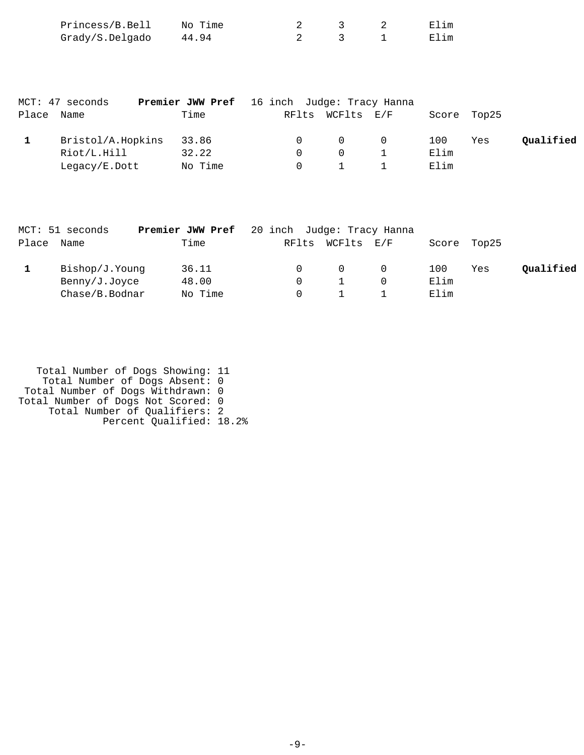| Princess/B.Bell | No Time |  | Elim |
|-----------------|---------|--|------|
| Grady/S.Delgado | 44.94   |  | Elim |

|       | MCT: 47 seconds   | <b>Premier JWW Pref</b> 16 inch Judge: Tracy Hanna |          |                  |                |      |             |           |
|-------|-------------------|----------------------------------------------------|----------|------------------|----------------|------|-------------|-----------|
| Place | Name              | Time                                               |          | RFlts WCFlts E/F |                |      | Score Top25 |           |
|       | Bristol/A.Hopkins | 33.86                                              |          | $\Omega$         | $\overline{0}$ | 100  | Yes         | Qualified |
|       | Riot/L.Hill       | 32.22                                              | $\Omega$ | $\cap$           |                | Elim |             |           |
|       | Legacy/E.Dott     | No Time                                            |          |                  |                | Elim |             |           |

|            | MCT: 51 seconds | <b>Premier JWW Pref</b> 20 inch Judge: Tracy Hanna |       |                |     |       |       |           |
|------------|-----------------|----------------------------------------------------|-------|----------------|-----|-------|-------|-----------|
| Place Name |                 | Time                                               | RFlts | WCFlts E/F     |     | Score | Top25 |           |
|            | Bishop/J.Younq  | 36.11                                              |       | $\overline{0}$ | . O | 100   | Yes   | Qualified |
|            | Benny/J.Joyce   | 48.00                                              |       |                |     | Elim  |       |           |
|            | Chase/B.Bodnar  | No Time                                            |       |                |     | Elim  |       |           |

| Total Number of Dogs Showing: 11   |  |
|------------------------------------|--|
| Total Number of Dogs Absent: 0     |  |
| Total Number of Dogs Withdrawn: 0  |  |
| Total Number of Dogs Not Scored: 0 |  |
| Total Number of Qualifiers: 2      |  |
| Percent Qualified: 18.2%           |  |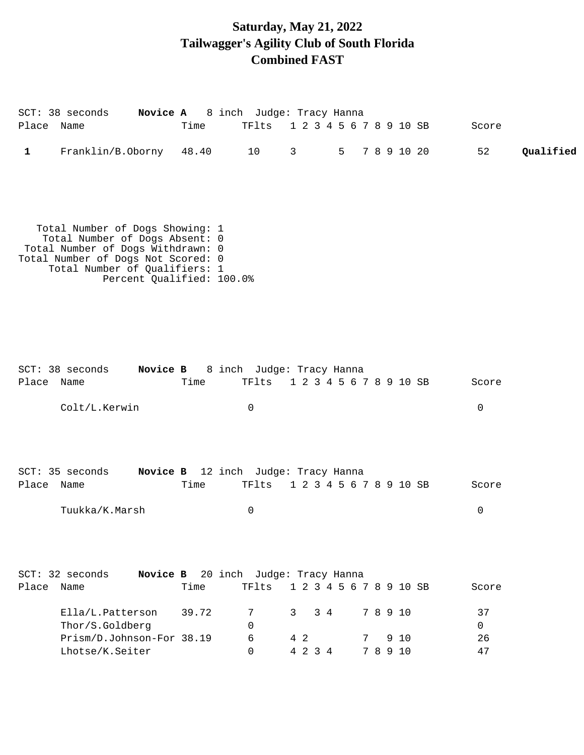# **Saturday, May 21, 2022 Tailwagger's Agility Club of South Florida Combined FAST**

|            | SCT: 38 seconds                                                                                                                                                                                            |       | Novice A 8 inch Judge: Tracy Hanna           |                              |               |             |                 |
|------------|------------------------------------------------------------------------------------------------------------------------------------------------------------------------------------------------------------|-------|----------------------------------------------|------------------------------|---------------|-------------|-----------------|
| Place Name |                                                                                                                                                                                                            | Time  | TFlts                                        | 1 2 3 4 5 6 7 8 9 10 SB      |               |             | Score           |
| 1          | Franklin/B.Oborny                                                                                                                                                                                          | 48.40 | 10                                           | $\mathsf{3}$<br>5            |               | 7 8 9 10 20 | 52<br>Qualified |
|            | Total Number of Dogs Showing: 1<br>Total Number of Dogs Absent: 0<br>Total Number of Dogs Withdrawn: 0<br>Total Number of Dogs Not Scored: 0<br>Total Number of Qualifiers: 1<br>Percent Qualified: 100.0% |       |                                              |                              |               |             |                 |
| Place Name | SCT: 38 seconds                                                                                                                                                                                            | Time  | Novice B 8 inch Judge: Tracy Hanna<br>TFlts  | 1 2 3 4 5 6 7 8 9 10 SB      |               |             | Score           |
|            | Colt/L.Kerwin                                                                                                                                                                                              |       | 0                                            |                              |               |             | 0               |
| Place Name | SCT: 35 seconds                                                                                                                                                                                            | Time  | Novice B 12 inch Judge: Tracy Hanna<br>TFlts | 1 2 3 4 5 6 7 8 9 10 SB      |               |             | Score           |
|            | Tuukka/K.Marsh                                                                                                                                                                                             |       | 0                                            |                              |               |             | 0               |
|            | SCT: 32 seconds                                                                                                                                                                                            |       | Novice B 20 inch Judge: Tracy Hanna          |                              |               |             |                 |
| Place Name |                                                                                                                                                                                                            | Time  | TFlts                                        | 1 2 3 4 5 6 7 8 9 10 SB      |               |             | Score           |
|            | Ella/L.Patterson<br>Thor/S.Goldberg                                                                                                                                                                        | 39.72 | 7<br>0                                       | $\overline{3}$<br>$3\quad 4$ | 7 8 9 10      |             | 37<br>$\Omega$  |
|            | Prism/D.Johnson-For 38.19<br>Lhotse/K.Seiter                                                                                                                                                               |       | 6<br>0                                       | 4 2<br>4 2 3 4               | 7<br>7 8 9 10 | 9 10        | 26<br>47        |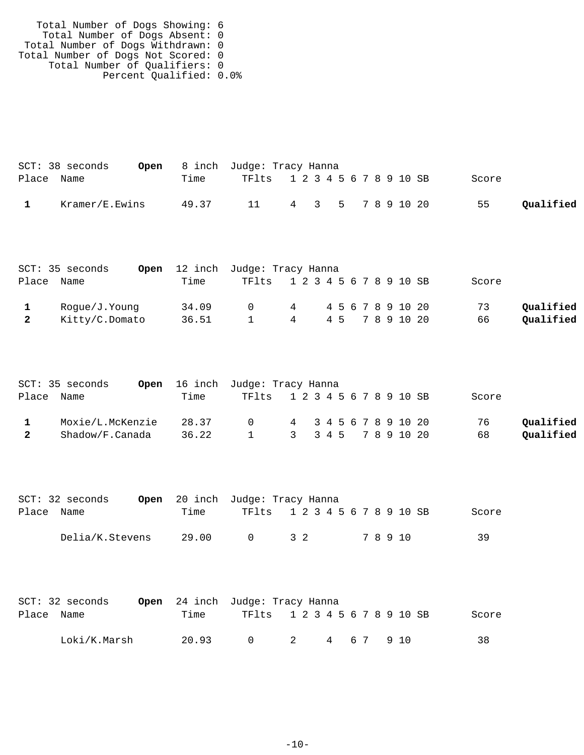| Total Number of Dogs Showing: 6    |  |
|------------------------------------|--|
| Total Number of Dogs Absent: 0     |  |
| Total Number of Dogs Withdrawn: 0  |  |
| Total Number of Dogs Not Scored: 0 |  |
| Total Number of Qualifiers: 0      |  |
| Percent Qualified: 0.0%            |  |

|            | $SCT: 38$ seconds |       | <b>Open</b> 8 inch Judge: Tracy Hanna |  |  |  |  |       |           |
|------------|-------------------|-------|---------------------------------------|--|--|--|--|-------|-----------|
| Place Name |                   | Time  | TF1ts 1 2 3 4 5 6 7 8 9 10 SB         |  |  |  |  | Score |           |
|            | Kramer/E.Ewins    | 49.37 | 11 4 3 5 7 8 9 10 20                  |  |  |  |  | 55    | Qualified |

|            | SCT: 35 seconds |       | Open 12 inch Judge: Tracy Hanna |                 |              |  |            |       |           |
|------------|-----------------|-------|---------------------------------|-----------------|--------------|--|------------|-------|-----------|
| Place Name |                 | Time  | TF1ts 1 2 3 4 5 6 7 8 9 10 SB   |                 |              |  |            | Score |           |
|            | Roque/J.Younq   | 34.09 | $\cap$                          |                 | 4 4567891020 |  |            | 73    | Qualified |
|            | Kitty/C.Domato  | 36.51 | $\mathbf{1}$                    | $4\overline{4}$ |              |  | 45 7891020 | 66    | Qualified |

|            | SCT: 35 seconds  | <b>Open</b> 16 inch Judge: Tracy Hanna |                               |                       |  |  |  |  |       |           |
|------------|------------------|----------------------------------------|-------------------------------|-----------------------|--|--|--|--|-------|-----------|
| Place Name |                  | Time                                   | TF1ts 1 2 3 4 5 6 7 8 9 10 SB |                       |  |  |  |  | Score |           |
|            | Moxie/L.McKenzie | 28.37                                  | $\cap$                        | 4 3 4 5 6 7 8 9 10 20 |  |  |  |  | 76    | Oualified |
| 2          | Shadow/F.Canada  | 36.22                                  | $\sim$ 1                      | 3 3 4 5 7 8 9 10 20   |  |  |  |  | 68    | Qualified |

|            | $SCT: 32$ seconds |       | <b>Open</b> 20 inch Judge: Tracy Hanna |                               |  |       |       |
|------------|-------------------|-------|----------------------------------------|-------------------------------|--|-------|-------|
| Place Name |                   | Time  |                                        | TF1ts 1 2 3 4 5 6 7 8 9 10 SB |  |       | Score |
|            | Delia/K.Stevens   | 29.00 | $\cap$                                 | 32                            |  | 78910 | 39    |

|            | $SCT: 32$ seconds |       | <b>Open</b> 24 inch Judge: Tracy Hanna |                |           |  |       |
|------------|-------------------|-------|----------------------------------------|----------------|-----------|--|-------|
| Place Name |                   | Time  | TF1ts 1 2 3 4 5 6 7 8 9 10 SB          |                |           |  | Score |
|            | Loki/K.Marsh      | 20.93 | $\bigcap$                              | $\overline{2}$ | 4 67 9 10 |  | 38    |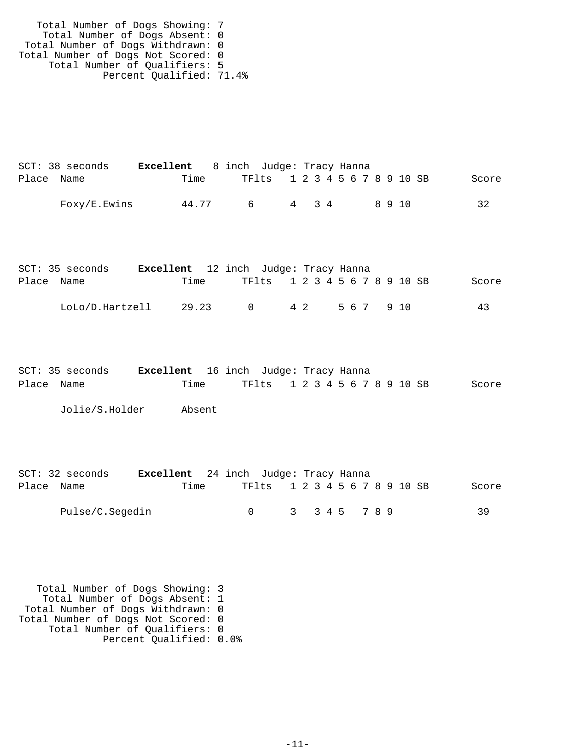| Total Number of Dogs Showing: 7    |  |
|------------------------------------|--|
| Total Number of Dogs Absent: 0     |  |
| Total Number of Dogs Withdrawn: 0  |  |
| Total Number of Dogs Not Scored: 0 |  |
| Total Number of Qualifiers: 5      |  |
| Percent Qualified: 71.4%           |  |

|            | $SCT: 38$ seconds | <b>Excellent</b> 8 inch Judge: Tracy Hanna |          |                               |  |       |  |  |        |  |       |
|------------|-------------------|--------------------------------------------|----------|-------------------------------|--|-------|--|--|--------|--|-------|
| Place Name |                   | Time                                       |          | TF1ts 1 2 3 4 5 6 7 8 9 10 SB |  |       |  |  |        |  | Score |
|            | Foxy/E.Ewins      | 44.77                                      | <u>б</u> |                               |  | 4 3 4 |  |  | 89 T.N |  | 32    |

|            | SCT: 35 seconds | <b>Excellent</b> 12 inch Judge: Tracy Hanna |        |                               |  |     |  |  |  |        |  |       |
|------------|-----------------|---------------------------------------------|--------|-------------------------------|--|-----|--|--|--|--------|--|-------|
| Place Name |                 | Time                                        |        | TF1ts 1 2 3 4 5 6 7 8 9 10 SB |  |     |  |  |  |        |  | Score |
|            | LoLo/D.Hartzell | 29.23                                       | $\cap$ |                               |  | 4 2 |  |  |  | 567910 |  | 43    |

|            | SCT: 35 seconds | Excellent 16 inch Judge: Tracy Hanna |  |                               |  |  |  |  |  |       |
|------------|-----------------|--------------------------------------|--|-------------------------------|--|--|--|--|--|-------|
| Place Name |                 | Time                                 |  | TF1ts 1 2 3 4 5 6 7 8 9 10 SB |  |  |  |  |  | Score |

Jolie/S.Holder Absent

|            | $SCT: 32$ seconds | <b>Excellent</b> 24 inch Judge: Tracy Hanna |  |                               |               |  |  |  |  |  |       |
|------------|-------------------|---------------------------------------------|--|-------------------------------|---------------|--|--|--|--|--|-------|
| Place Name |                   | Time                                        |  | TF1ts 1 2 3 4 5 6 7 8 9 10 SB |               |  |  |  |  |  | Score |
|            | Pulse/C.Segedin   |                                             |  |                               | 3 3 4 5 7 8 9 |  |  |  |  |  | 39    |

 Total Number of Dogs Showing: 3 Total Number of Dogs Absent: 1 Total Number of Dogs Withdrawn: 0 Total Number of Dogs Not Scored: 0 Total Number of Qualifiers: 0 Percent Qualified: 0.0%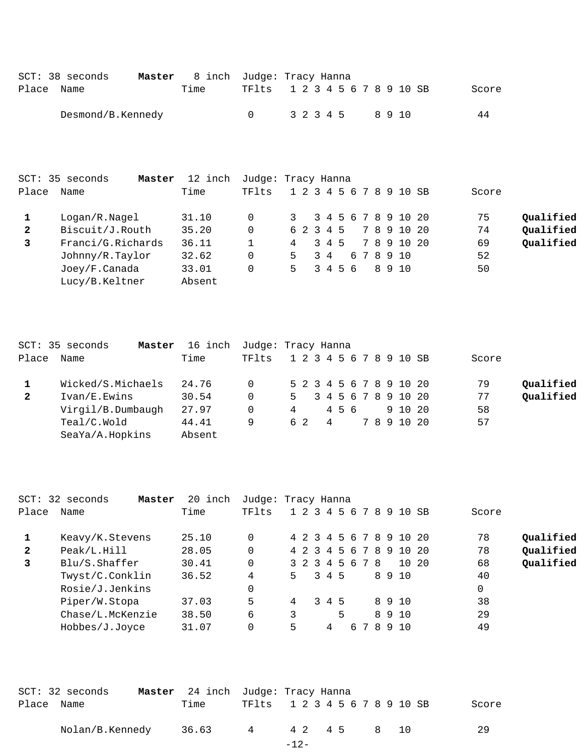|            | $SCT: 38$ seconds | <b>Master</b> 8 inch Judge: Tracy Hanna |                               |  |  |  |  |                  |  |       |
|------------|-------------------|-----------------------------------------|-------------------------------|--|--|--|--|------------------|--|-------|
| Place Name |                   | Time                                    | TF1ts 1 2 3 4 5 6 7 8 9 10 SB |  |  |  |  |                  |  | Score |
|            | Desmond/B.Kennedy |                                         |                               |  |  |  |  | 3 2 3 4 5 8 9 10 |  | 44    |

|              | SCT: 35 seconds<br>Master | 12 inch | Judge: Tracy Hanna |                         |     |         |  |  |             |       |           |
|--------------|---------------------------|---------|--------------------|-------------------------|-----|---------|--|--|-------------|-------|-----------|
| Place        | Name                      | Time    | TFlts              | 1 2 3 4 5 6 7 8 9 10 SB |     |         |  |  |             | Score |           |
|              | Logan/R.Nagel             | 31.10   | 0                  | 3 3 4 5 6 7 8 9 10 20   |     |         |  |  |             | 75    | Qualified |
| $\mathbf{2}$ | Biscuit/J.Routh           | 35.20   | 0                  | 6 2 3 4 5               |     |         |  |  | 7 8 9 10 20 | 74    | Qualified |
| 3            | Franci/G.Richards         | 36.11   |                    | 4                       |     | 3 4 5   |  |  | 7 8 9 10 20 | 69    | Qualified |
|              | Johnny/R.Taylor           | 32.62   | 0                  | 5.                      | 3 4 |         |  |  | 678910      | 52    |           |
|              | Joey/F.Canada             | 33.01   | 0                  | 5.                      |     | 3 4 5 6 |  |  | 8910        | 50    |           |
|              | Lucy/B.Keltner            | Absent  |                    |                         |     |         |  |  |             |       |           |
|              |                           |         |                    |                         |     |         |  |  |             |       |           |

|              | SCT: 35 seconds<br>Master | 16 inch | Judge: Tracy Hanna |   |     |  |     |  |  |                         |       |           |
|--------------|---------------------------|---------|--------------------|---|-----|--|-----|--|--|-------------------------|-------|-----------|
| Place        | Name                      | Time    | TFlts              |   |     |  |     |  |  | 1 2 3 4 5 6 7 8 9 10 SB | Score |           |
|              | Wicked/S.Michaels         | 24.76   | 0                  |   |     |  |     |  |  | 5 2 3 4 5 6 7 8 9 10 20 | 79    | Qualified |
| $\mathbf{2}$ | Ivan/E.Ewins              | 30.54   | $\Omega$           |   |     |  |     |  |  | 5 3 4 5 6 7 8 9 10 20   | 77    | Qualified |
|              | Virgil/B.Dumbaugh         | 27.97   | 0                  | 4 |     |  | 456 |  |  | 9 10 20                 | 58    |           |
|              | Teal/C.Wold               | 44.41   | 9                  |   | 6 2 |  | -4  |  |  | 7 8 9 10 20             | 57    |           |
|              | SeaYa/A.Hopkins           | Absent  |                    |   |     |  |     |  |  |                         |       |           |

|              | SCT: 32 seconds<br>Master | 20 inch | Judge: Tracy Hanna |    |  |   |       |                   |    |                         |             |           |
|--------------|---------------------------|---------|--------------------|----|--|---|-------|-------------------|----|-------------------------|-------------|-----------|
| Place        | Name                      | Time    | TFlts              |    |  |   |       |                   |    | 1 2 3 4 5 6 7 8 9 10 SB | Score       |           |
|              | Keavy/K.Stevens           | 25.10   | 0                  |    |  |   |       |                   |    | 4 2 3 4 5 6 7 8 9 10 20 | 78          | Qualified |
| $\mathbf{2}$ | Peak/L.Hill               | 28.05   | $\Omega$           |    |  |   |       | 4 2 3 4 5 6 7 8 9 |    | 10 20                   | 78          | Qualified |
| 3            | Blu/S. Shafter            | 30.41   | $\Omega$           |    |  |   |       | 3 2 3 4 5 6 7 8   |    | 10 20                   | 68          | Qualified |
|              | Twyst/C.Conklin           | 36.52   | 4                  | 5. |  |   | 3 4 5 |                   |    | 8910                    | 40          |           |
|              | Rosie/J.Jenkins           |         | 0                  |    |  |   |       |                   |    |                         | $\mathbf 0$ |           |
|              | Piper/W.Stopa             | 37.03   | 5                  | 4  |  |   | 3 4 5 |                   |    | 8910                    | 38          |           |
|              | Chase/L.McKenzie          | 38.50   | 6                  | 3  |  |   | 5     |                   |    | 8 9 10                  | 29          |           |
|              | Hobbes/J.Joyce            | 31.07   | 0                  | 5  |  | 4 |       | 67                | 89 | 10                      | 49          |           |

|            | $SCT: 32$ seconds | Master 24 inch Judge: Tracy Hanna |                                    |        |  |  |  |  |              |       |
|------------|-------------------|-----------------------------------|------------------------------------|--------|--|--|--|--|--------------|-------|
| Place Name |                   | Time                              | TF1ts 1 2 3 4 5 6 7 8 9 10 SB      |        |  |  |  |  |              | Score |
|            | Nolan/B.Kennedy   | 36.63                             | $4\phantom{000000000000000000000}$ |        |  |  |  |  | 4 2 4 5 8 10 | 29    |
|            |                   |                                   |                                    | $-12-$ |  |  |  |  |              |       |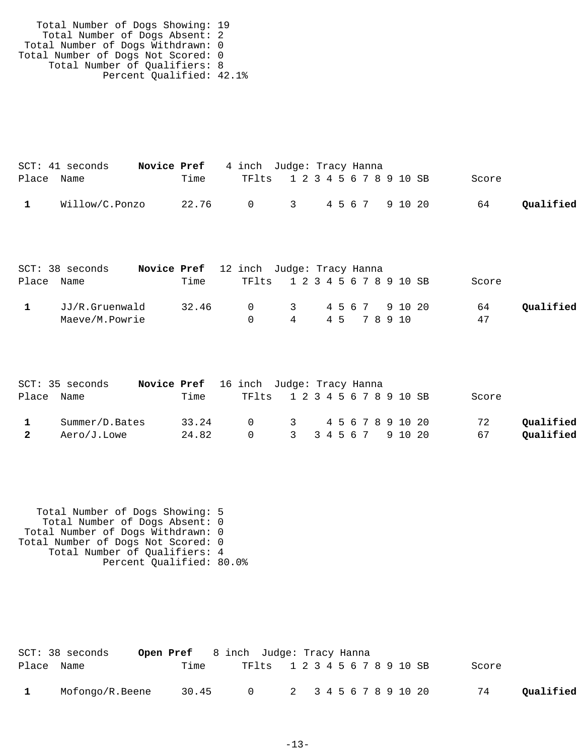| Total Number of Dogs Showing: 19   |  |
|------------------------------------|--|
| Total Number of Dogs Absent: 2     |  |
| Total Number of Dogs Withdrawn: 0  |  |
| Total Number of Dogs Not Scored: 0 |  |
| Total Number of Qualifiers: 8      |  |
| Percent Qualified: 42.1%           |  |

|            | $SCT: 41$ seconds | <b>Novice Pref</b> 4 inch Judge: Tracy Hanna |                               |  |  |  |       |           |
|------------|-------------------|----------------------------------------------|-------------------------------|--|--|--|-------|-----------|
| Place Name |                   | Time                                         | TF1ts 1 2 3 4 5 6 7 8 9 10 SB |  |  |  | Score |           |
|            | Willow/C.Ponzo    | 22.76 0 3 4567 91020                         |                               |  |  |  | 64    | Qualified |

| $SCT: 38$ seconds | Novice Pref 12 inch Judge: Tracy Hanna |       |                               |                     |  |  |  |  |       |           |
|-------------------|----------------------------------------|-------|-------------------------------|---------------------|--|--|--|--|-------|-----------|
| Place Name        |                                        | Time  | TF1ts 1 2 3 4 5 6 7 8 9 10 SB |                     |  |  |  |  | Score |           |
| JJ/R.Gruenwald    |                                        | 32.46 |                               | 0 3 4 5 6 7 9 10 20 |  |  |  |  | 64    | Oualified |
| Maeve/M.Powrie    |                                        |       |                               | 4 45 78910          |  |  |  |  | 47    |           |

|   | SCT: 35 seconds | Novice Pref 16 inch Judge: Tracy Hanna |                               |  |  |       |           |
|---|-----------------|----------------------------------------|-------------------------------|--|--|-------|-----------|
|   | Place Name      | Time                                   | TF1ts 1 2 3 4 5 6 7 8 9 10 SB |  |  | Score |           |
|   | Summer/D.Bates  | 33.24                                  | 0 3 4 5 6 7 8 9 10 20         |  |  | 72    | Qualified |
| 2 | Aero/J.Lowe     | 24.82                                  | 0 3 3 4 5 6 7 9 10 20         |  |  | 67    | Qualified |

 Total Number of Dogs Showing: 5 Total Number of Dogs Absent: 0 Total Number of Dogs Withdrawn: 0 Total Number of Dogs Not Scored: 0 Total Number of Qualifiers: 4 Percent Qualified: 80.0%

|              | SCT: 38 seconds |       | <b>Open Pref</b> 8 inch Judge: Tracy Hanna |  |  |  |  |       |           |
|--------------|-----------------|-------|--------------------------------------------|--|--|--|--|-------|-----------|
| Place Name   |                 | Time  | TF1ts 1 2 3 4 5 6 7 8 9 10 SB              |  |  |  |  | Score |           |
| $\mathbf{1}$ | Mofongo/R.Beene | 30.45 | 0 2 3 4 5 6 7 8 9 10 20                    |  |  |  |  | 74    | Oualified |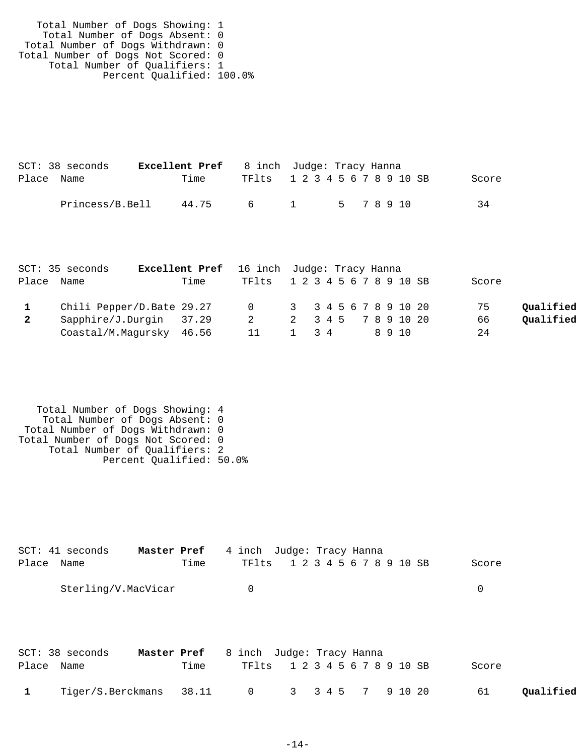Total Number of Dogs Showing: 1 Total Number of Dogs Absent: 0 Total Number of Dogs Withdrawn: 0 Total Number of Dogs Not Scored: 0 Total Number of Qualifiers: 1 Percent Qualified: 100.0%

|            | $SCT: 38$ seconds | <b>Excellent Pref</b> 8 inch Judge: Tracy Hanna |                               |  |  |  |       |
|------------|-------------------|-------------------------------------------------|-------------------------------|--|--|--|-------|
| Place Name |                   | Time                                            | TF1ts 1 2 3 4 5 6 7 8 9 10 SB |  |  |  | Score |
|            | Princess/B.Bell   | 44.75                                           | 6 1 5 7 8 9 10                |  |  |  | 34    |

|              | SCT: 35 seconds           | <b>Excellent Pref</b> 16 inch Judge: Tracy Hanna |                               |                     |  |  |  |      |       |           |
|--------------|---------------------------|--------------------------------------------------|-------------------------------|---------------------|--|--|--|------|-------|-----------|
| Place Name   |                           | Time                                             | TF1ts 1 2 3 4 5 6 7 8 9 10 SB |                     |  |  |  |      | Score |           |
|              | Chili Pepper/D.Bate 29.27 |                                                  | 0 3 3 4 5 6 7 8 9 10 20       |                     |  |  |  |      | 75    | Oualified |
| $\mathbf{2}$ | Sapphire/J.Durgin 37.29   |                                                  | $\overline{2}$                | 2 3 4 5 7 8 9 10 20 |  |  |  |      | 66    | Qualified |
|              | Coastal/M.Magursky 46.56  |                                                  | 11                            | 1 3 4               |  |  |  | 8910 | 24    |           |

 Total Number of Dogs Showing: 4 Total Number of Dogs Absent: 0 Total Number of Dogs Withdrawn: 0 Total Number of Dogs Not Scored: 0 Total Number of Qualifiers: 2 Percent Qualified: 50.0%

| Place Name | SCT: 41 seconds<br>Master Pref | Time                | 4 inch Judge: Tracy Hanna<br>TFlts | 1 2 3 4 5 6 7 8 9 10 SB |  |         |         | Score           |  |
|------------|--------------------------------|---------------------|------------------------------------|-------------------------|--|---------|---------|-----------------|--|
|            | Sterling/V.MacVicar            |                     | 0                                  |                         |  |         |         | 0               |  |
| Place Name | $SCT: 38$ seconds              | Master Pref<br>Time | 8 inch Judge: Tracy Hanna<br>TFlts | 1 2 3 4 5 6 7 8 9 10 SB |  |         |         | Score           |  |
|            | Tiger/S.Berckmans              | 38.11               | 0                                  | $3 \quad$               |  | 3 4 5 7 | 9 10 20 | 61<br>Oualified |  |

-14-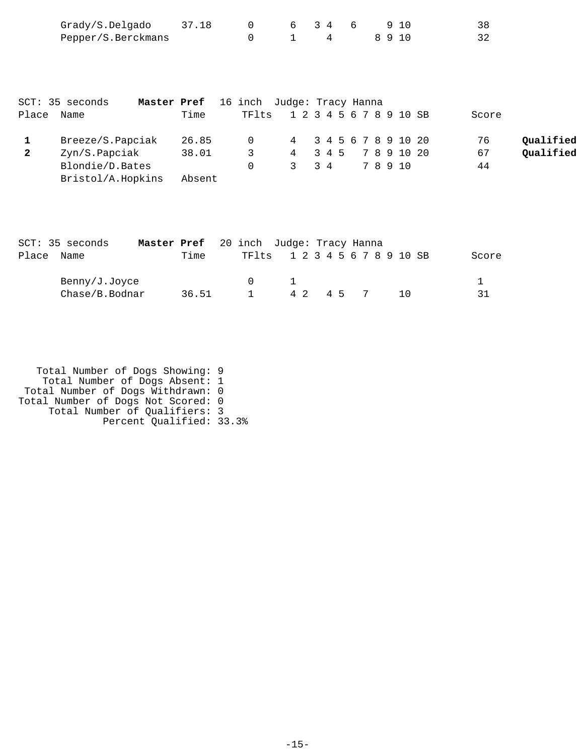| Grady/S.Delgado    | 37.18 |  | 6346 |  | 910  |  |
|--------------------|-------|--|------|--|------|--|
| Pepper/S.Berckmans |       |  |      |  | 8910 |  |

|              | SCT: 35 seconds   | <b>Master Pref</b> 16 inch Judge: Tracy Hanna |                               |                     |  |  |  |       |       |           |
|--------------|-------------------|-----------------------------------------------|-------------------------------|---------------------|--|--|--|-------|-------|-----------|
| Place        | Name              | Time                                          | TF1ts 1 2 3 4 5 6 7 8 9 10 SB |                     |  |  |  |       | Score |           |
|              | Breeze/S.Papciak  | 26.85                                         | 0 4 3 4 5 6 7 8 9 10 20       |                     |  |  |  |       | 76    | Qualified |
| $\mathbf{2}$ | Zyn/S.Papciak     | 38.01                                         | $\mathcal{R}$                 | 4 3 4 5 7 8 9 10 20 |  |  |  |       | 67    | Qualified |
|              | Blondie/D.Bates   |                                               |                               | 3 3 4               |  |  |  | 78910 | 44    |           |
|              | Bristol/A.Hopkins | Absent                                        |                               |                     |  |  |  |       |       |           |

|       | SCT: 35 seconds | Master Pref 20 inch Judge: Tracy Hanna |       |                               |  |  |         |  |                 |  |       |
|-------|-----------------|----------------------------------------|-------|-------------------------------|--|--|---------|--|-----------------|--|-------|
| Place | Name            |                                        | Time  | TF1ts 1 2 3 4 5 6 7 8 9 10 SB |  |  |         |  |                 |  | Score |
|       | Benny/J.Joyce   |                                        |       |                               |  |  |         |  |                 |  |       |
|       | Chase/B.Bodnar  |                                        | 36.51 | $\mathbf{1}$                  |  |  | 42 45 7 |  | $\overline{10}$ |  | 31    |

| Total Number of Dogs Showing: 9    |  |
|------------------------------------|--|
| Total Number of Dogs Absent: 1     |  |
| Total Number of Dogs Withdrawn: 0  |  |
| Total Number of Dogs Not Scored: 0 |  |
| Total Number of Qualifiers: 3      |  |
| Percent Qualified: 33.3%           |  |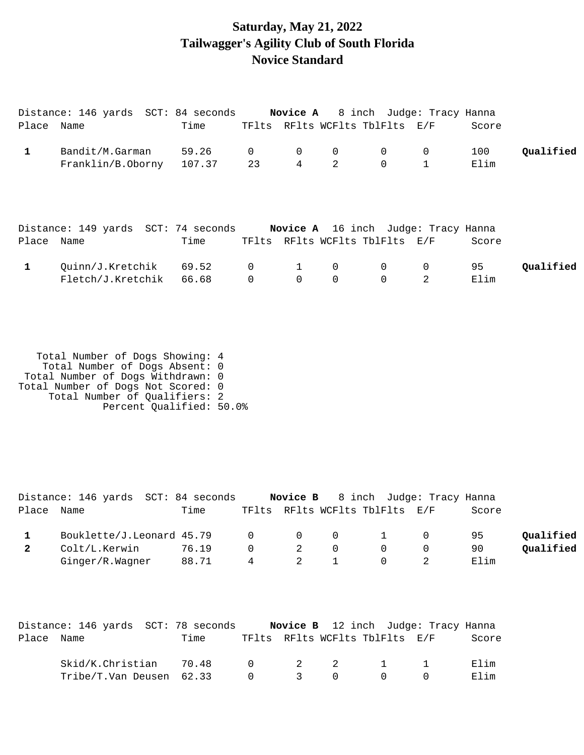## **Saturday, May 21, 2022 Tailwagger's Agility Club of South Florida Novice Standard**

| Place Name   | Distance: 146 yards SCT: 84 seconds               | Time  |                    |                                | TFlts RFlts WCFlts TblFlts E/F |                                  | <b>Novice A</b> 8 inch Judge: Tracy Hanna  | Score       |           |
|--------------|---------------------------------------------------|-------|--------------------|--------------------------------|--------------------------------|----------------------------------|--------------------------------------------|-------------|-----------|
| $\mathbf{1}$ | Bandit/M.Garman<br>Franklin/B.Oborny 107.37       | 59.26 | $\mathbf{0}$<br>23 | $\mathbf 0$<br>$4\overline{ }$ | 0<br>2                         | $\overline{0}$<br>$\overline{0}$ | $\mathbf 0$<br>$\mathbf{1}$                | 100<br>Elim | Qualified |
| Place Name   | Distance: 149 yards SCT: 74 seconds               | Time  |                    |                                | TFlts RFlts WCFlts TblFlts E/F |                                  | <b>Novice A</b> 16 inch Judge: Tracy Hanna | Score       |           |
| $\mathbf{1}$ | Ouinn/J.Kretchik 69.52<br>Fletch/J.Kretchik 66.68 |       | $\overline{0}$     | 1<br>0                         | $\overline{0}$<br>$\Omega$     | $\mathbf 0$<br>$\mathbf 0$       | $\mathbf 0$<br>2                           | 95<br>Elim  | Qualified |

 Total Number of Dogs Showing: 4 Total Number of Dogs Absent: 0 Total Number of Dogs Withdrawn: 0 Total Number of Dogs Not Scored: 0 Total Number of Qualifiers: 2 Percent Qualified: 50.0%

|            | Distance: 146 yards SCT: 84 seconds |       |        |          |                                     | <b>Novice B</b> 8 inch Judge: Tracy Hanna |     |       |           |
|------------|-------------------------------------|-------|--------|----------|-------------------------------------|-------------------------------------------|-----|-------|-----------|
| Place Name |                                     | Time  |        |          |                                     | TFlts RFlts WCFlts TblFlts E/F            |     | Score |           |
|            | Bouklette/J.Leonard 45.79           |       |        |          | $\begin{matrix}0&0&0&1\end{matrix}$ |                                           | - 0 | 95    | Oualified |
|            | Colt/L.Kerwin                       | 76.19 | $\cap$ | 2        | 0                                   |                                           |     | 90    | Oualified |
|            | Ginger/R.Wagner                     | 88.71 | 4      | $\sim$ 2 |                                     |                                           |     | Elim  |           |

|            | Distance: 146 yards SCT: 78 seconds |      |          |                |          |                                                                | Novice B 12 inch Judge: Tracy Hanna |       |
|------------|-------------------------------------|------|----------|----------------|----------|----------------------------------------------------------------|-------------------------------------|-------|
| Place Name |                                     | Time |          |                |          | TFlts RFlts WCFlts TblFlts E/F                                 |                                     | Score |
|            | Skid/K.Christian 70.48              |      |          |                |          | $\begin{array}{ccccccccccccc}\n0 & 2 & 2 & 1 & 1\n\end{array}$ |                                     | Flim  |
|            | Tribe/T.Van Deusen 62.33            |      | $\Omega$ | $\overline{3}$ | $\Omega$ | $\bigcap$                                                      |                                     | Elim  |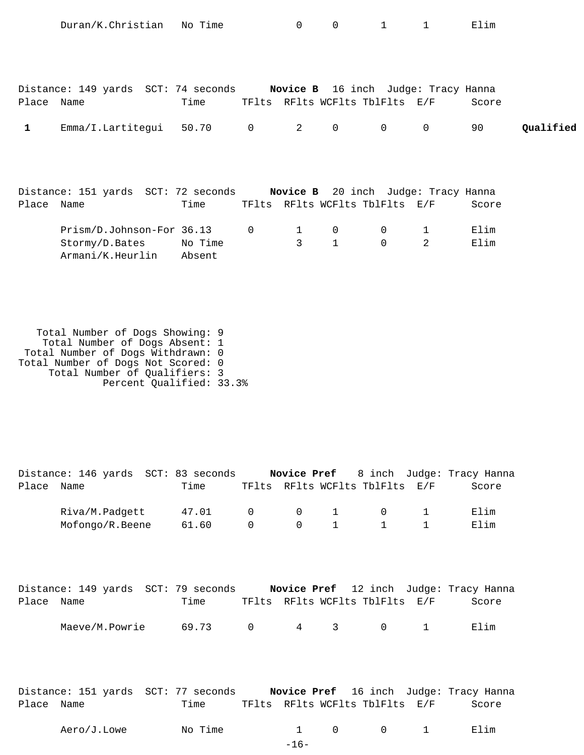|              | Duran/K.Christian                                                       | No Time |                | $\overline{0}$ | $0 \qquad \qquad$                                                     | $1 \qquad \qquad$ | $1 \quad$      | Elim                      |           |
|--------------|-------------------------------------------------------------------------|---------|----------------|----------------|-----------------------------------------------------------------------|-------------------|----------------|---------------------------|-----------|
|              |                                                                         |         |                |                |                                                                       |                   |                |                           |           |
| Place Name   | Distance: 149 yards SCT: 74 seconds                                     | Time    |                |                | Novice B 16 inch Judge: Tracy Hanna<br>TFlts RFlts WCFlts TblFlts E/F |                   |                | Score                     |           |
| $\mathbf{1}$ | Emma/I.Lartitegui                                                       | 50.70   | $\overline{0}$ | $2^{\circ}$    | 0                                                                     | $0 \qquad \qquad$ | 0              | 90                        | Qualified |
|              |                                                                         |         |                |                |                                                                       |                   |                |                           |           |
|              | Distance: 151 yards SCT: 72 seconds Novice B 20 inch Judge: Tracy Hanna |         |                |                |                                                                       |                   |                |                           |           |
| Place Name   |                                                                         | Time    |                |                | TFlts RFlts WCFlts TblFlts E/F                                        |                   |                | Score                     |           |
|              | Prism/D.Johnson-For 36.13                                               |         | $\mathbf 0$    | 1              | 0                                                                     | 0                 | $\mathbf 1$    | Elim                      |           |
|              | Stormy/D.Bates                                                          | No Time |                | 3              | $\mathbf{1}$                                                          | $\Omega$          | $\overline{2}$ | Elim                      |           |
|              | Armani/K.Heurlin                                                        | Absent  |                |                |                                                                       |                   |                |                           |           |
|              |                                                                         |         |                |                |                                                                       |                   |                |                           |           |
|              |                                                                         |         |                |                |                                                                       |                   |                |                           |           |
|              |                                                                         |         |                |                |                                                                       |                   |                |                           |           |
|              | Total Number of Dogs Showing: 9                                         |         |                |                |                                                                       |                   |                |                           |           |
|              | Total Number of Dogs Absent: 1<br>Total Number of Dogs Withdrawn: 0     |         |                |                |                                                                       |                   |                |                           |           |
|              | Total Number of Dogs Not Scored: 0                                      |         |                |                |                                                                       |                   |                |                           |           |
|              | Total Number of Qualifiers: 3<br>Percent Qualified: 33.3%               |         |                |                |                                                                       |                   |                |                           |           |
|              |                                                                         |         |                |                |                                                                       |                   |                |                           |           |
|              |                                                                         |         |                |                |                                                                       |                   |                |                           |           |
|              |                                                                         |         |                |                |                                                                       |                   |                |                           |           |
|              |                                                                         |         |                |                |                                                                       |                   |                |                           |           |
|              | Distance: 146 yards SCT: 83 seconds                                     |         |                | Novice Pref    |                                                                       |                   |                | 8 inch Judge: Tracy Hanna |           |
| Place Name   |                                                                         | Time    |                |                | TFlts RFlts WCFlts TblFlts E/F                                        |                   |                | Score                     |           |

| Riva/M.Padgett 47.01 0 0 1 0 1    |  |  |  | Elim |
|-----------------------------------|--|--|--|------|
| Mofongo/R.Beene $61.60$ 0 0 1 1 1 |  |  |  | Elim |

|            | Distance: 149 yards SCT: 79 seconds |       |  |                                         | <b>Novice Pref</b> 12 inch Judge: Tracy Hanna |
|------------|-------------------------------------|-------|--|-----------------------------------------|-----------------------------------------------|
| Place Name |                                     | Time  |  | TFlts RFlts WCFlts TblFlts E/F          | Score                                         |
|            | Maeve/M.Powrie                      | 69.73 |  | $0 \qquad 4 \qquad 3 \qquad 0 \qquad 1$ | Elim                                          |

| Distance: 151 yards SCT: 77 seconds |      | Novice Pref 16 inch Judge: Tracy Hanna |  |       |
|-------------------------------------|------|----------------------------------------|--|-------|
| Place Name                          | Time | TFlts RFlts WCFlts TblFlts E/F         |  | Score |

| Time<br>Aero/J.Lowe<br>ΝC<br>$\sim$<br>__ |  |  |  |  | - --<br><br>EIIM |
|-------------------------------------------|--|--|--|--|------------------|
|-------------------------------------------|--|--|--|--|------------------|

-16-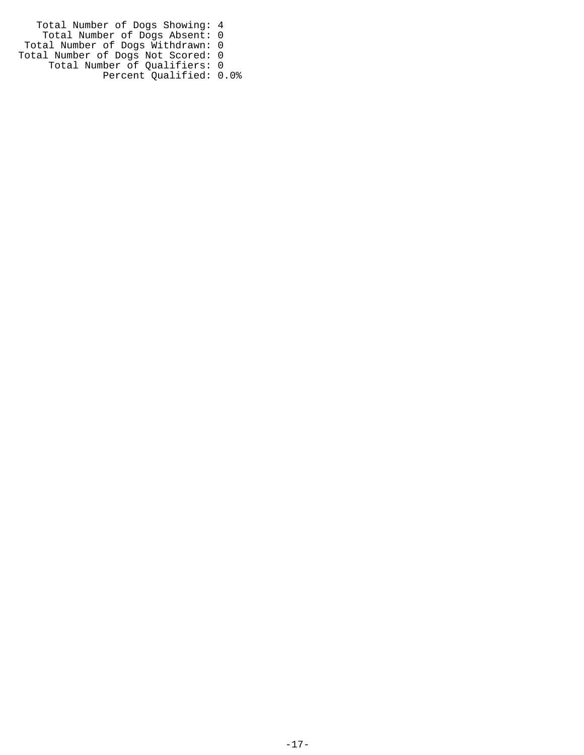Total Number of Dogs Showing: 4 Total Number of Dogs Absent: 0 Total Number of Dogs Withdrawn: 0 Total Number of Dogs Not Scored: 0 Total Number of Qualifiers: 0 Percent Qualified: 0.0%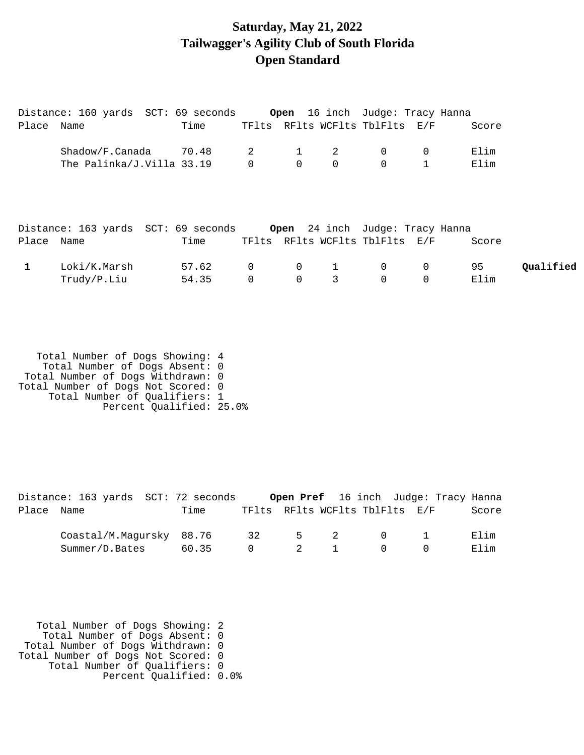## **Saturday, May 21, 2022 Tailwagger's Agility Club of South Florida Open Standard**

|              | Distance: 160 yards  SCT: 69 seconds <b>Open</b> 16 inch  Judge: Tracy Hanna |       |                |                |              |                                             |                |       |           |
|--------------|------------------------------------------------------------------------------|-------|----------------|----------------|--------------|---------------------------------------------|----------------|-------|-----------|
| Place Name   |                                                                              | Time  |                |                |              | TFlts RFlts WCFlts TblFlts E/F              |                | Score |           |
|              | Shadow/F.Canada 70.48 2                                                      |       |                |                | -2           | $\overline{0}$                              | $\overline{0}$ | Elim  |           |
|              | The Palinka/J.Villa 33.19                                                    |       |                |                |              | $\begin{matrix} 0 & 0 & 0 & 0 \end{matrix}$ |                | Elim  |           |
|              |                                                                              |       |                |                |              |                                             |                |       |           |
|              |                                                                              |       |                |                |              |                                             |                |       |           |
|              |                                                                              |       |                |                |              |                                             |                |       |           |
|              | Distance: 163 yards  SCT: 69 seconds <b>Open</b> 24 inch  Judge: Tracy Hanna |       |                |                |              |                                             |                |       |           |
| Place Name   |                                                                              | Time  |                |                |              | TFlts RFlts WCFlts TblFlts E/F              |                | Score |           |
| $\mathbf{1}$ | Loki/K.Marsh                                                                 | 57.62 | $\overline{0}$ | $\overline{0}$ | $\mathbf{1}$ | $\overline{0}$                              | $\overline{0}$ | 95    | Oualified |
|              | Trudy/P.Liu                                                                  | 54.35 | $\mathbf 0$    | 0              | 3            | $\mathsf{O}$                                | 0              | Elim  |           |

 Total Number of Dogs Showing: 4 Total Number of Dogs Absent: 0 Total Number of Dogs Withdrawn: 0 Total Number of Dogs Not Scored: 0 Total Number of Qualifiers: 1 Percent Qualified: 25.0%

|            | Distance: 163 yards SCT: 72 seconds |       |                                | <b>Open Pref</b> 16 inch Judge: Tracy Hanna |                                     |       |
|------------|-------------------------------------|-------|--------------------------------|---------------------------------------------|-------------------------------------|-------|
| Place Name |                                     | Time  | TFlts RFlts WCFlts TblFlts E/F |                                             |                                     | Score |
|            | Coastal/M.Magursky 88.76            |       | 32                             | 5 2 0 1                                     |                                     | Elim  |
|            | Summer/D.Bates                      | 60.35 | $\Omega$                       | 2 1                                         | $\begin{matrix} 0 & 0 \end{matrix}$ | Elim  |

 Total Number of Dogs Showing: 2 Total Number of Dogs Absent: 0 Total Number of Dogs Withdrawn: 0 Total Number of Dogs Not Scored: 0 Total Number of Qualifiers: 0 Percent Qualified: 0.0%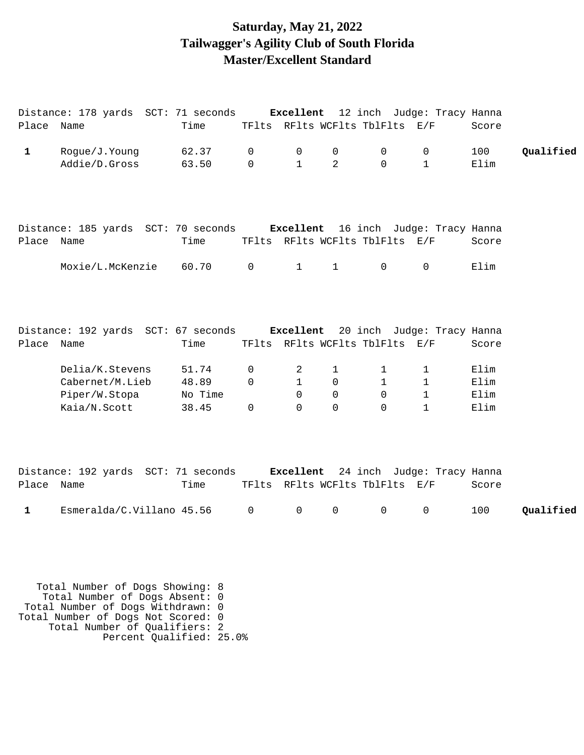### **Saturday, May 21, 2022 Tailwagger's Agility Club of South Florida Master/Excellent Standard**

|              | Distance: 178 yards SCT: 71 seconds Excellent 12 inch Judge: Tracy Hanna |                  |                |                            |               |                                |                            |              |           |
|--------------|--------------------------------------------------------------------------|------------------|----------------|----------------------------|---------------|--------------------------------|----------------------------|--------------|-----------|
| Place Name   |                                                                          | Time             |                |                            |               | TFlts RFlts WCFlts TblFlts E/F |                            | Score        |           |
| $\mathbf{1}$ | Rogue/J.Young                                                            | 62.37            | $\mathbf 0$    | $\,0\,$                    | 0             | $\mathsf{O}$                   | 0                          | 100          | Qualified |
|              | Addie/D.Gross                                                            | 63.50            | $\mathbf 0$    | $\mathbf{1}$               | 2             | $\Omega$                       | $\mathbf{1}$               | Elim         |           |
|              |                                                                          |                  |                |                            |               |                                |                            |              |           |
|              | Distance: 185 yards SCT: 70 seconds Excellent 16 inch Judge: Tracy Hanna |                  |                |                            |               |                                |                            |              |           |
| Place Name   |                                                                          | Time             |                |                            |               | TFlts RFlts WCFlts TblFlts E/F |                            | Score        |           |
|              | Moxie/L.McKenzie                                                         | 60.70            | $\mathsf{O}$   | $\mathbf{1}$               | $\mathbf{1}$  | $\mathbf 0$                    | 0                          | Elim         |           |
|              |                                                                          |                  |                |                            |               |                                |                            |              |           |
|              |                                                                          |                  |                |                            |               |                                |                            |              |           |
|              | Distance: 192 yards SCT: 67 seconds Excellent 20 inch Judge: Tracy Hanna |                  |                |                            |               |                                |                            |              |           |
| Place Name   |                                                                          | Time             |                |                            |               | TFlts RFlts WCFlts TblFlts E/F |                            | Score        |           |
|              | Delia/K.Stevens                                                          | 51.74            | 0              | 2                          | $\mathbf{1}$  | 1                              | 1                          | Elim         |           |
|              | Cabernet/M.Lieb                                                          | 48.89            | $\mathbf 0$    | $\mathbf{1}$               | 0             | $\mathbf{1}$                   | $\mathbf 1$                | Elim         |           |
|              | Piper/W.Stopa<br>Kaia/N.Scott                                            | No Time<br>38.45 | 0              | $\mathbf 0$<br>$\mathbf 0$ | 0<br>$\Omega$ | $\mathsf{O}$<br>0              | $\mathbf{1}$<br>1          | Elim<br>Elim |           |
|              |                                                                          |                  |                |                            |               |                                |                            |              |           |
|              | Distance: 192 yards SCT: 71 seconds Excellent                            |                  |                |                            |               |                                | 24 inch Judge: Tracy Hanna |              |           |
| Place Name   |                                                                          | Time             |                |                            |               | TFlts RFlts WCFlts TblFlts E/F |                            | Score        |           |
| $\mathbf{1}$ | Esmeralda/C.Villano 45.56                                                |                  | $\overline{0}$ | $\mathsf{O}$               | $\mathsf{O}$  | $\mathsf{O}$                   | $\mathsf{O}\xspace$        | 100          | Qualified |
|              |                                                                          |                  |                |                            |               |                                |                            |              |           |
|              |                                                                          |                  |                |                            |               |                                |                            |              |           |
|              |                                                                          |                  |                |                            |               |                                |                            |              |           |

 Total Number of Dogs Showing: 8 Total Number of Dogs Absent: 0 Total Number of Dogs Withdrawn: 0 Total Number of Dogs Not Scored: 0 Total Number of Qualifiers: 2 Percent Qualified: 25.0%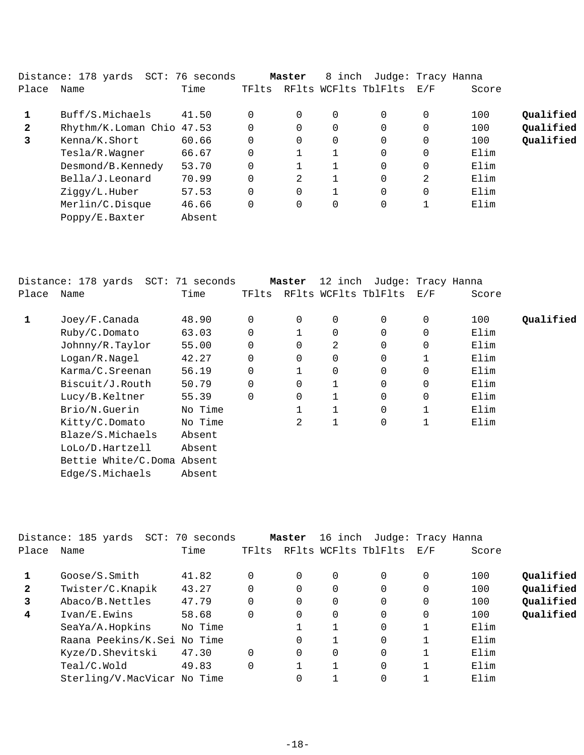|              | Distance: 178 yards       | SCT: 76 seconds |          | Master | 8 inch | Judge: Tracy Hanna   |          |       |           |
|--------------|---------------------------|-----------------|----------|--------|--------|----------------------|----------|-------|-----------|
| Place        | Name                      | Time            | TFlts    |        |        | RFlts WCFlts TblFlts | E/F      | Score |           |
|              | Buff/S.Michaels           | 41.50           | 0        |        | 0      | 0                    | 0        | 100   | Qualified |
| $\mathbf{2}$ | Rhythm/K.Loman Chio 47.53 |                 | 0        |        | 0      | 0                    | 0        | 100   | Qualified |
| 3            | Kenna/K.Short             | 60.66           | $\Omega$ |        | 0      | $\Omega$             | $\Omega$ | 100   | Qualified |
|              | Tesla/R.Wagner            | 66.67           | $\Omega$ | 1      |        | $\Omega$             | 0        | Elim  |           |
|              | Desmond/B.Kennedy         | 53.70           |          |        |        | 0                    | 0        | Elim  |           |
|              | Bella/J.Leonard           | 70.99           | 0        | 2      |        | 0                    | 2        | Elim  |           |
|              | Ziggy/L.Huber             | 57.53           | $\Omega$ |        |        | $\Omega$             | 0        | Elim  |           |
|              | Merlin/C.Disque           | 46.66           | $\Omega$ |        | 0      | 0                    |          | Elim  |           |
|              | Poppy/E.Baxter            | Absent          |          |        |        |                      |          |       |           |

|       | Distance: 178 yards SCT: 71 seconds |         |       | Master   | 12 inch     | Judge: Tracy Hanna   |          |       |           |
|-------|-------------------------------------|---------|-------|----------|-------------|----------------------|----------|-------|-----------|
| Place | Name                                | Time    | TFlts |          |             | RFlts WCFlts TblFlts | E/F      | Score |           |
| 1     | Joey/F.Canada                       | 48.90   | 0     | 0        | $\mathbf 0$ | 0                    | 0        | 100   | Qualified |
|       | Ruby/C.Domato                       | 63.03   | 0     |          | $\mathbf 0$ | $\Omega$             | $\Omega$ | Elim  |           |
|       | Johnny/R.Taylor                     | 55.00   | 0     |          | 2           | $\Omega$             | 0        | Elim  |           |
|       | Logan/R.Nagel                       | 42.27   | 0     | 0        | $\mathbf 0$ | 0                    |          | Elim  |           |
|       | Karma/C.Sreenan                     | 56.19   | 0     |          | $\mathbf 0$ | $\Omega$             | $\Omega$ | Elim  |           |
|       | Biscuit/J.Routh                     | 50.79   | 0     | $\Omega$ |             | $\Omega$             | 0        | Elim  |           |
|       | Lucy/B.Keltner                      | 55.39   | 0     | 0        |             | 0                    | 0        | Elim  |           |
|       | Brio/N.Guerin                       | No Time |       |          |             | 0                    |          | Elim  |           |
|       | Kitty/C.Domato                      | No Time |       | 2        | $\mathbf 1$ | 0                    |          | Elim  |           |
|       | Blaze/S.Michaels                    | Absent  |       |          |             |                      |          |       |           |
|       | LoLo/D.Hartzell                     | Absent  |       |          |             |                      |          |       |           |
|       | Bettie White/C.Doma Absent          |         |       |          |             |                      |          |       |           |
|       | Edge/S.Michaels                     | Absent  |       |          |             |                      |          |       |           |
|       |                                     |         |       |          |             |                      |          |       |           |

|              | Distance: 185 yards SCT: 70 seconds |         |          | Master   | 16 inch  | Judge: Tracy Hanna       |   |       |           |
|--------------|-------------------------------------|---------|----------|----------|----------|--------------------------|---|-------|-----------|
| Place        | Name                                | Time    | TFlts    |          |          | RFlts WCFlts TblFlts E/F |   | Score |           |
|              | Google/S.Smith                      | 41.82   | $\Omega$ | 0        | 0        | 0                        | 0 | 100   | Qualified |
| $\mathbf{2}$ | Twister/C.Knapik                    | 43.27   | $\Omega$ | $\Omega$ | $\Omega$ | $\mathbf 0$              | 0 | 100   | Qualified |
| 3            | Abaco/B.Nettles                     | 47.79   | $\Omega$ | $\Omega$ | $\Omega$ | $\Omega$                 | 0 | 100   | Qualified |
| 4            | Ivan/E.Ewins                        | 58.68   | $\Omega$ | $\Omega$ | $\Omega$ | $\Omega$                 | 0 | 100   | Qualified |
|              | SeaYa/A.Hopkins                     | No Time |          |          |          | $\Omega$                 |   | Elim  |           |
|              | Raana Peekins/K.Sei No Time         |         |          | 0        |          | 0                        |   | Elim  |           |
|              | Kyze/D.Shevitski                    | 47.30   | $\Omega$ | $\Omega$ | $\Omega$ | 0                        |   | Elim  |           |
|              | Teal/C.Wold                         | 49.83   | $\Omega$ |          |          | 0                        |   | Elim  |           |
|              | Sterling/V.MacVicar No Time         |         |          | 0        |          | 0                        |   | Elim  |           |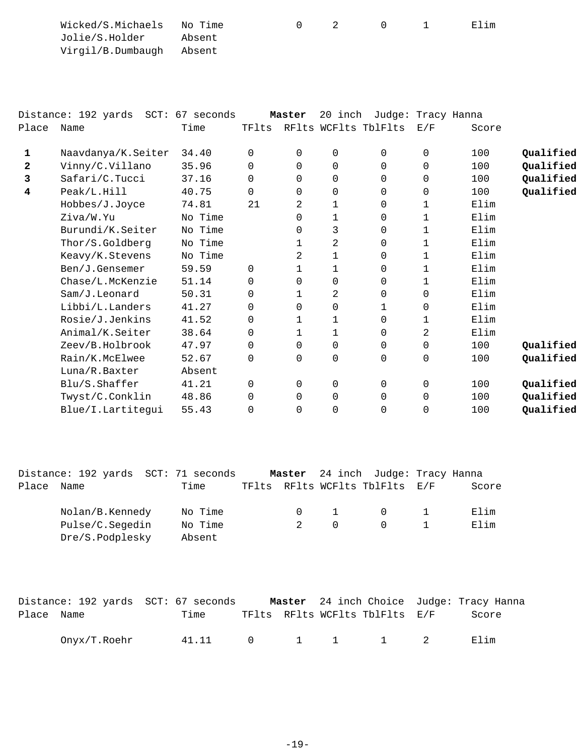| Wicked/S.Michaels No Time |        |  |  | Elim |
|---------------------------|--------|--|--|------|
| Jolie/S.Holder            | Absent |  |  |      |
| Virgil/B.Dumbaugh Absent  |        |  |  |      |

|              | Distance: 192 yards SCT: 67 seconds |         |       | Master   | 20 inch  | Judge: Tracy Hanna   |          |       |           |
|--------------|-------------------------------------|---------|-------|----------|----------|----------------------|----------|-------|-----------|
| Place        | Name                                | Time    | TFlts |          |          | RFlts WCFlts TblFlts | E/F      | Score |           |
| 1            | Naavdanya/K.Seiter                  | 34.40   | 0     | $\Omega$ | 0        | $\Omega$             | $\Omega$ | 100   | Qualified |
| $\mathbf{2}$ | Vinny/C.Villano                     | 35.96   | 0     | $\Omega$ | 0        | $\Omega$             | 0        | 100   | Qualified |
| 3            | Safari/C.Tucci                      | 37.16   | 0     | $\Omega$ | 0        | $\Omega$             | 0        | 100   | Qualified |
| 4            | Peak/L.Hill                         | 40.75   | 0     | $\Omega$ | 0        | $\Omega$             | 0        | 100   | Qualified |
|              | Hobbes/J.Joyce                      | 74.81   | 21    | 2        | 1        | 0                    |          | Elim  |           |
|              | Ziva/W.Yu                           | No Time |       | $\Omega$ | 1        | 0                    |          | Elim  |           |
|              | Burundi/K.Seiter                    | No Time |       | 0        | 3        | $\mathbf 0$          | 1        | Elim  |           |
|              | Thor/S.Goldberg                     | No Time |       | 1        | 2        | 0                    |          | Elim  |           |
|              | Keavy/K.Stevens                     | No Time |       | 2        | 1        | $\mathbf 0$          |          | Elim  |           |
|              | Ben/J.Gensemer                      | 59.59   | 0     | 1        | 1        | $\Omega$             |          | Elim  |           |
|              | Chase/L.McKenzie                    | 51.14   | 0     | $\Omega$ | $\Omega$ | $\Omega$             |          | Elim  |           |
|              | Sam/J.Leonard                       | 50.31   | 0     | 1        | 2        | $\Omega$             | 0        | Elim  |           |
|              | Libbi/L.Landers                     | 41.27   | 0     | $\Omega$ | 0        | 1                    | 0        | Elim  |           |
|              | Rosie/J.Jenkins                     | 41.52   | 0     | 1        | 1        | 0                    | 1        | Elim  |           |
|              | Animal/K.Seiter                     | 38.64   | 0     | 1        | 1        | $\Omega$             | 2        | Elim  |           |
|              | Zeev/B.Holbrook                     | 47.97   | 0     | $\Omega$ | 0        | $\Omega$             | 0        | 100   | Qualified |
|              | Rain/K.McElwee                      | 52.67   | 0     | $\Omega$ | 0        | $\Omega$             | 0        | 100   | Qualified |
|              | Luna/R.Baxter                       | Absent  |       |          |          |                      |          |       |           |
|              | Blu/S.Shaffer                       | 41.21   | 0     | 0        | 0        | $\Omega$             | $\Omega$ | 100   | Qualified |
|              | Twyst/C.Conklin                     | 48.86   | 0     | $\Omega$ | $\Omega$ | 0                    | 0        | 100   | Qualified |
|              | Blue/I.Lartitequi                   | 55.43   | 0     | 0        | 0        | 0                    | 0        | 100   | Qualified |

| Name | Time                                                  |                                     |          |          |   | Score                                                               |
|------|-------------------------------------------------------|-------------------------------------|----------|----------|---|---------------------------------------------------------------------|
|      |                                                       |                                     |          |          |   |                                                                     |
|      | No Time                                               |                                     |          | $\Omega$ |   | Elim                                                                |
|      | No Time                                               | $2^{\circ}$                         | $\Omega$ | $\cap$   |   | Elim                                                                |
|      | Absent                                                |                                     |          |          |   |                                                                     |
|      | Nolan/B.Kennedy<br>Pulse/C.Segedin<br>Dre/S.Podplesky | Distance: 192 yards SCT: 71 seconds |          | $\cap$   | 1 | Master 24 inch Judge: Tracy Hanna<br>TFlts RFlts WCFlts TblFlts E/F |

|            |              | Distance: 192 yards SCT: 67 seconds | <b>Master</b> 24 inch Choice Judge: Tracy Hanna |       |
|------------|--------------|-------------------------------------|-------------------------------------------------|-------|
| Place Name |              | Time                                | TFlts RFlts WCFlts TblFlts E/F                  | Score |
|            | Onyx/T.Roehr |                                     | 41.11 0 1 1 1 2                                 | Elim  |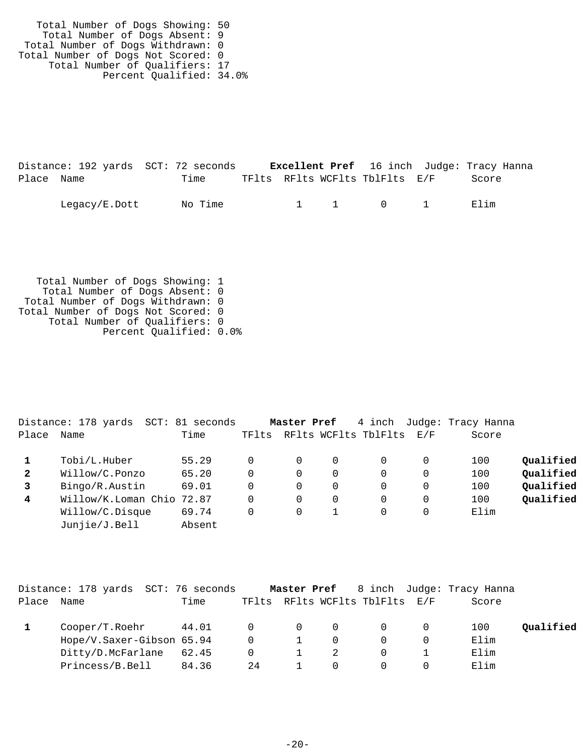Total Number of Dogs Showing: 50 Total Number of Dogs Absent: 9 Total Number of Dogs Withdrawn: 0 Total Number of Dogs Not Scored: 0 Total Number of Qualifiers: 17 Percent Qualified: 34.0%

|            | Distance: 192 yards SCT: 72 seconds |         |  |                                | <b>Excellent Pref</b> 16 inch Judge: Tracy Hanna |
|------------|-------------------------------------|---------|--|--------------------------------|--------------------------------------------------|
| Place Name |                                     | Time    |  | TFlts RFlts WCFlts TblFlts E/F | Score                                            |
|            | Legacy/E.Dott                       | No Time |  | 1 1 0 1                        | Elim                                             |

 Total Number of Dogs Showing: 1 Total Number of Dogs Absent: 0 Total Number of Dogs Withdrawn: 0 Total Number of Dogs Not Scored: 0 Total Number of Qualifiers: 0 Percent Qualified: 0.0%

|              | Distance: 178 yards<br>SCT: | 81 seconds |       | Master Pref |             | 4 inch               |     | Judge: Tracy Hanna |           |
|--------------|-----------------------------|------------|-------|-------------|-------------|----------------------|-----|--------------------|-----------|
| Place        | Name                        | Time       | TFlts |             |             | RFlts WCFlts TblFlts | E/F | Score              |           |
|              | Tobi/L.Huber                | 55.29      |       | 0           | $\Omega$    | 0                    |     | 100                | Qualified |
| $\mathbf{2}$ | Willow/C.Ponzo              | 65.20      |       | 0           | 0           | 0                    |     | 100                | Qualified |
|              | Bingo/R.Austin              | 69.01      | 0     | 0           | $\mathbf 0$ | $\Omega$             |     | 100                | Qualified |
| 4            | Willow/K.Loman Chio         | 72.87      | 0     | 0           | 0           | $\Omega$             |     | 100                | Qualified |
|              | Willow/C.Disque             | 69.74      | 0     | 0           |             | 0                    |     | Elim               |           |
|              | Junjie/J.Bell               | Absent     |       |             |             |                      |     |                    |           |
|              |                             |            |       |             |             |                      |     |                    |           |

|       | Distance: 178 yards  SCT: 76 seconds |       |                |                |     |                                |   | <b>Master Pref</b> 8 inch Judge: Tracy Hanna |           |
|-------|--------------------------------------|-------|----------------|----------------|-----|--------------------------------|---|----------------------------------------------|-----------|
| Place | Name                                 | Time  |                |                |     | TFlts RFlts WCFlts TblFlts E/F |   | Score                                        |           |
|       | Cooper/T.Roehr                       | 44.01 | $\overline{0}$ | $\overline{0}$ | - 0 | $\overline{0}$                 | 0 | 100                                          | Oualified |
|       | Hope/V.Saxer-Gibson 65.94            |       | $\Omega$       |                |     |                                |   | Elim                                         |           |
|       | Ditty/D.McFarlane                    | 62.45 | $\Omega$       |                |     |                                |   | Elim                                         |           |
|       | Princess/B.Bell                      | 84.36 | 24             |                |     |                                |   | Elim                                         |           |